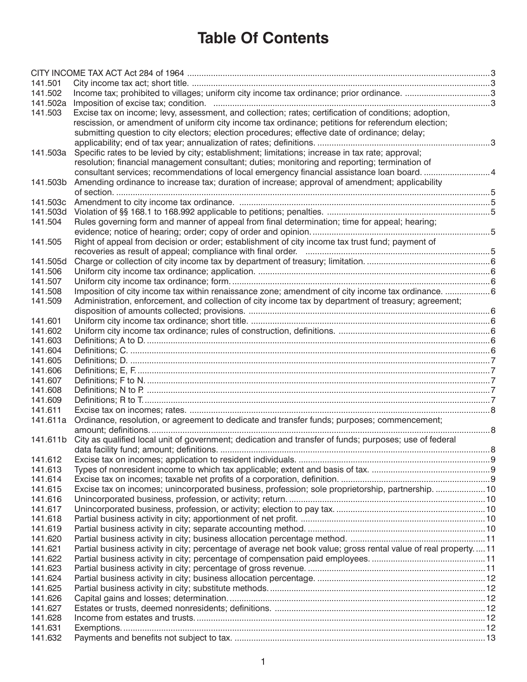# **Table Of Contents**

| 141.501            |                                                                                                                |  |
|--------------------|----------------------------------------------------------------------------------------------------------------|--|
| 141.502            | Income tax; prohibited to villages; uniform city income tax ordinance; prior ordinance. 3                      |  |
| 141.502a           |                                                                                                                |  |
| 141.503            | Excise tax on income; levy, assessment, and collection; rates; certification of conditions; adoption,          |  |
|                    | rescission, or amendment of uniform city income tax ordinance; petitions for referendum election;              |  |
|                    | submitting question to city electors; election procedures; effective date of ordinance; delay;                 |  |
|                    |                                                                                                                |  |
|                    | 141.503a Specific rates to be levied by city; establishment; limitations; increase in tax rate; approval;      |  |
|                    | resolution; financial management consultant; duties; monitoring and reporting; termination of                  |  |
|                    | consultant services; recommendations of local emergency financial assistance loan board. 4                     |  |
| 141.503b           | Amending ordinance to increase tax; duration of increase; approval of amendment; applicability                 |  |
|                    |                                                                                                                |  |
| 141.503c           |                                                                                                                |  |
| 141.503d           |                                                                                                                |  |
| 141.504            | Rules governing form and manner of appeal from final determination; time for appeal; hearing;                  |  |
|                    |                                                                                                                |  |
| 141.505            | Right of appeal from decision or order; establishment of city income tax trust fund; payment of                |  |
| 141.505d           |                                                                                                                |  |
| 141.506            |                                                                                                                |  |
| 141.507            |                                                                                                                |  |
| 141.508            | Imposition of city income tax within renaissance zone; amendment of city income tax ordinance. 6               |  |
| 141.509            | Administration, enforcement, and collection of city income tax by department of treasury; agreement;           |  |
|                    |                                                                                                                |  |
| 141.601            |                                                                                                                |  |
| 141.602            |                                                                                                                |  |
| 141.603            |                                                                                                                |  |
| 141.604            |                                                                                                                |  |
| 141.605            |                                                                                                                |  |
| 141.606            |                                                                                                                |  |
| 141.607            |                                                                                                                |  |
| 141.608            |                                                                                                                |  |
| 141.609            |                                                                                                                |  |
| 141.611            |                                                                                                                |  |
| 141.611a           | Ordinance, resolution, or agreement to dedicate and transfer funds; purposes; commencement;                    |  |
|                    |                                                                                                                |  |
| 141.611b           | City as qualified local unit of government; dedication and transfer of funds; purposes; use of federal         |  |
|                    |                                                                                                                |  |
| 141.612            |                                                                                                                |  |
| 141.613            |                                                                                                                |  |
| 141.614            |                                                                                                                |  |
| 141.615            | Excise tax on incomes; unincorporated business, profession; sole proprietorship, partnership. 10               |  |
| 141.616            |                                                                                                                |  |
| 141.617            |                                                                                                                |  |
| 141.618            |                                                                                                                |  |
| 141.619            |                                                                                                                |  |
| 141.620            |                                                                                                                |  |
| 141.621            | Partial business activity in city; percentage of average net book value; gross rental value of real property11 |  |
| 141.622            |                                                                                                                |  |
| 141.623            |                                                                                                                |  |
| 141.624            |                                                                                                                |  |
| 141.625            |                                                                                                                |  |
| 141.626            |                                                                                                                |  |
| 141.627            |                                                                                                                |  |
| 141.628<br>141.631 |                                                                                                                |  |
| 141.632            |                                                                                                                |  |
|                    |                                                                                                                |  |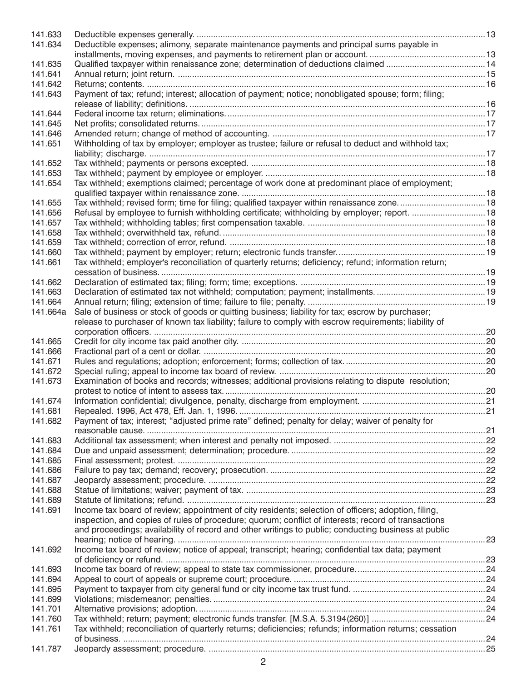| 141.633  |                                                                                                          |  |
|----------|----------------------------------------------------------------------------------------------------------|--|
| 141.634  | Deductible expenses; alimony, separate maintenance payments and principal sums payable in                |  |
|          |                                                                                                          |  |
| 141.635  | Qualified taxpayer within renaissance zone; determination of deductions claimed 14                       |  |
| 141.641  |                                                                                                          |  |
| 141.642  |                                                                                                          |  |
| 141.643  | Payment of tax; refund; interest; allocation of payment; notice; nonobligated spouse; form; filing;      |  |
|          |                                                                                                          |  |
| 141.644  |                                                                                                          |  |
| 141.645  |                                                                                                          |  |
| 141.646  |                                                                                                          |  |
| 141.651  | Withholding of tax by employer; employer as trustee; failure or refusal to deduct and withhold tax;      |  |
|          |                                                                                                          |  |
| 141.652  |                                                                                                          |  |
| 141.653  |                                                                                                          |  |
| 141.654  | Tax withheld; exemptions claimed; percentage of work done at predominant place of employment;            |  |
|          |                                                                                                          |  |
| 141.655  | Tax withheld; revised form; time for filing; qualified taxpayer within renaissance zone18                |  |
| 141.656  | Refusal by employee to furnish withholding certificate; withholding by employer; report. 18              |  |
| 141.657  |                                                                                                          |  |
| 141.658  |                                                                                                          |  |
| 141.659  |                                                                                                          |  |
| 141.660  |                                                                                                          |  |
| 141.661  | Tax withheld; employer's reconciliation of quarterly returns; deficiency; refund; information return;    |  |
|          |                                                                                                          |  |
| 141.662  |                                                                                                          |  |
| 141.663  |                                                                                                          |  |
| 141.664  |                                                                                                          |  |
| 141.664a | Sale of business or stock of goods or quitting business; liability for tax; escrow by purchaser;         |  |
|          | release to purchaser of known tax liability; failure to comply with escrow requirements; liability of    |  |
|          |                                                                                                          |  |
| 141.665  |                                                                                                          |  |
| 141.666  |                                                                                                          |  |
| 141.671  |                                                                                                          |  |
| 141.672  |                                                                                                          |  |
| 141.673  | Examination of books and records; witnesses; additional provisions relating to dispute resolution;       |  |
|          |                                                                                                          |  |
| 141.674  |                                                                                                          |  |
| 141.681  |                                                                                                          |  |
| 141.682  | Payment of tax; interest; "adjusted prime rate" defined; penalty for delay; waiver of penalty for        |  |
|          |                                                                                                          |  |
| 141.683  |                                                                                                          |  |
| 141.684  |                                                                                                          |  |
| 141.685  |                                                                                                          |  |
| 141.686  |                                                                                                          |  |
|          |                                                                                                          |  |
| 141.687  |                                                                                                          |  |
| 141.688  |                                                                                                          |  |
| 141.689  |                                                                                                          |  |
| 141.691  | Income tax board of review; appointment of city residents; selection of officers; adoption, filing,      |  |
|          | inspection, and copies of rules of procedure; quorum; conflict of interests; record of transactions      |  |
|          | and proceedings; availability of record and other writings to public; conducting business at public      |  |
|          |                                                                                                          |  |
| 141.692  | Income tax board of review; notice of appeal; transcript; hearing; confidential tax data; payment        |  |
|          |                                                                                                          |  |
| 141.693  |                                                                                                          |  |
| 141.694  |                                                                                                          |  |
| 141.695  |                                                                                                          |  |
| 141.699  |                                                                                                          |  |
| 141.701  |                                                                                                          |  |
| 141.760  |                                                                                                          |  |
| 141.761  | Tax withheld; reconciliation of quarterly returns; deficiencies; refunds; information returns; cessation |  |
|          |                                                                                                          |  |
| 141.787  |                                                                                                          |  |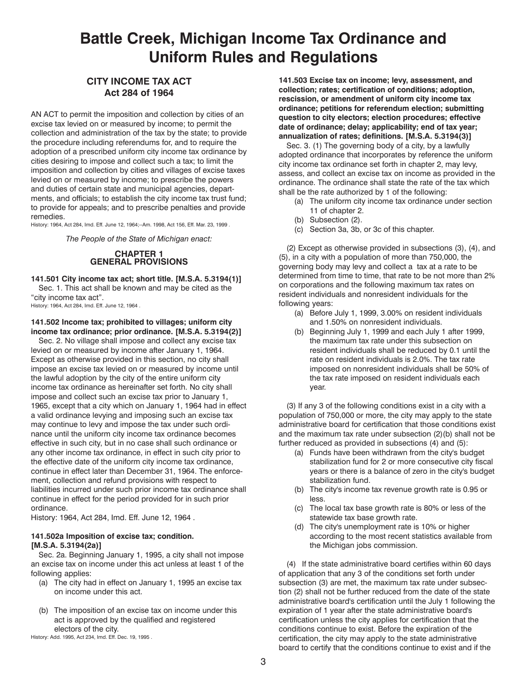# <span id="page-2-0"></span>**Battle Creek, Michigan Income Tax Ordinance and Uniform Rules and Regulations**

# **CITY INCOME TAX ACT Act 284 of 1964**

AN ACT to permit the imposition and collection by cities of an excise tax levied on or measured by income; to permit the collection and administration of the tax by the state; to provide the procedure including referendums for, and to require the adoption of a prescribed uniform city income tax ordinance by cities desiring to impose and collect such a tax; to limit the imposition and collection by cities and villages of excise taxes levied on or measured by income; to prescribe the powers and duties of certain state and municipal agencies, departments, and officials; to establish the city income tax trust fund; to provide for appeals; and to prescribe penalties and provide remedies.

History: 1964, Act 284, Imd. Eff. June 12, 1964;--Am. 1998, Act 156, Eff. Mar. 23, 1999 .

*The People of the State of Michigan enact:*

# **CHAPTER 1 GENERAL PROVISIONS**

# **141.501 City income tax act; short title. [M.S.A. 5.3194(1)]**

Sec. 1. This act shall be known and may be cited as the "city income tax act".

History: 1964, Act 284, Imd. Eff. June 12, 1964 .

# **141.502 Income tax; prohibited to villages; uniform city income tax ordinance; prior ordinance. [M.S.A. 5.3194(2)]**

Sec. 2. No village shall impose and collect any excise tax levied on or measured by income after January 1, 1964. Except as otherwise provided in this section, no city shall impose an excise tax levied on or measured by income until the lawful adoption by the city of the entire uniform city income tax ordinance as hereinafter set forth. No city shall impose and collect such an excise tax prior to January 1, 1965, except that a city which on January 1, 1964 had in effect a valid ordinance levying and imposing such an excise tax may continue to levy and impose the tax under such ordinance until the uniform city income tax ordinance becomes effective in such city, but in no case shall such ordinance or any other income tax ordinance, in effect in such city prior to the effective date of the uniform city income tax ordinance, continue in effect later than December 31, 1964. The enforcement, collection and refund provisions with respect to liabilities incurred under such prior income tax ordinance shall continue in effect for the period provided for in such prior ordinance.

History: 1964, Act 284, Imd. Eff. June 12, 1964 .

# **141.502a Imposition of excise tax; condition. [M.S.A. 5.3194(2a)]**

Sec. 2a. Beginning January 1, 1995, a city shall not impose an excise tax on income under this act unless at least 1 of the following applies:

- (a) The city had in effect on January 1, 1995 an excise tax on income under this act.
- (b) The imposition of an excise tax on income under this act is approved by the qualified and registered electors of the city.

History: Add. 1995, Act 234, Imd. Eff. Dec. 19, 1995 .

**141.503 Excise tax on income; levy, assessment, and collection; rates; certification of conditions; adoption, rescission, or amendment of uniform city income tax ordinance; petitions for referendum election; submitting question to city electors; election procedures; effective date of ordinance; delay; applicability; end of tax year; annualization of rates; definitions. [M.S.A. 5.3194(3)]**

Sec. 3. (1) The governing body of a city, by a lawfully adopted ordinance that incorporates by reference the uniform city income tax ordinance set forth in chapter 2, may levy, assess, and collect an excise tax on income as provided in the ordinance. The ordinance shall state the rate of the tax which shall be the rate authorized by 1 of the following:

- (a) The uniform city income tax ordinance under section 11 of chapter 2.
- (b) Subsection (2).
- (c) Section 3a, 3b, or 3c of this chapter.

(2) Except as otherwise provided in subsections (3), (4), and (5), in a city with a population of more than 750,000, the governing body may levy and collect a tax at a rate to be determined from time to time, that rate to be not more than 2% on corporations and the following maximum tax rates on resident individuals and nonresident individuals for the following years:

- (a) Before July 1, 1999, 3.00% on resident individuals and 1.50% on nonresident individuals.
- Beginning July 1, 1999 and each July 1 after 1999, the maximum tax rate under this subsection on resident individuals shall be reduced by 0.1 until the rate on resident individuals is 2.0%. The tax rate imposed on nonresident individuals shall be 50% of the tax rate imposed on resident individuals each year.

(3) If any 3 of the following conditions exist in a city with a population of 750,000 or more, the city may apply to the state administrative board for certification that those conditions exist and the maximum tax rate under subsection (2)(b) shall not be further reduced as provided in subsections (4) and (5):

- (a) Funds have been withdrawn from the city's budget stabilization fund for 2 or more consecutive city fiscal years or there is a balance of zero in the city's budget stabilization fund.
- (b) The city's income tax revenue growth rate is 0.95 or less.
- (c) The local tax base growth rate is 80% or less of the statewide tax base growth rate.
- (d) The city's unemployment rate is 10% or higher according to the most recent statistics available from the Michigan jobs commission.

(4) If the state administrative board certifies within 60 days of application that any 3 of the conditions set forth under subsection (3) are met, the maximum tax rate under subsection (2) shall not be further reduced from the date of the state administrative board's certification until the July 1 following the expiration of 1 year after the state administrative board's certification unless the city applies for certification that the conditions continue to exist. Before the expiration of the certification, the city may apply to the state administrative board to certify that the conditions continue to exist and if the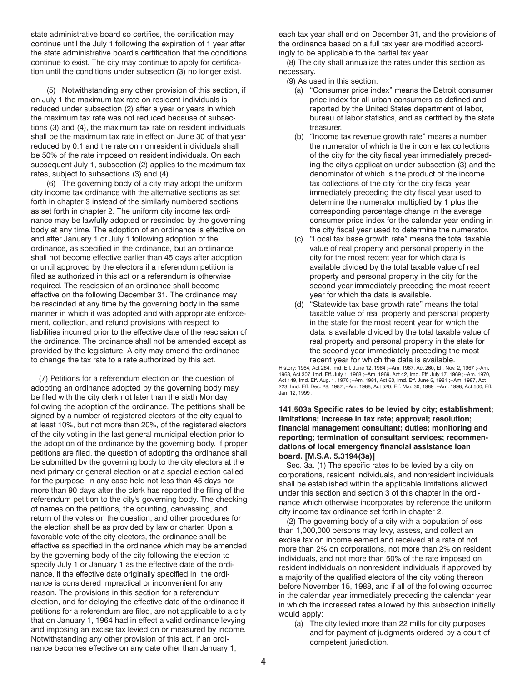<span id="page-3-0"></span>state administrative board so certifies, the certification may continue until the July 1 following the expiration of 1 year after the state administrative board's certification that the conditions continue to exist. The city may continue to apply for certification until the conditions under subsection (3) no longer exist.

(5) Notwithstanding any other provision of this section, if on July 1 the maximum tax rate on resident individuals is reduced under subsection (2) after a year or years in which the maximum tax rate was not reduced because of subsections (3) and (4), the maximum tax rate on resident individuals shall be the maximum tax rate in effect on June 30 of that year reduced by 0.1 and the rate on nonresident individuals shall be 50% of the rate imposed on resident individuals. On each subsequent July 1, subsection (2) applies to the maximum tax rates, subject to subsections (3) and (4).

(6) The governing body of a city may adopt the uniform city income tax ordinance with the alternative sections as set forth in chapter 3 instead of the similarly numbered sections as set forth in chapter 2. The uniform city income tax ordinance may be lawfully adopted or rescinded by the governing body at any time. The adoption of an ordinance is effective on and after January 1 or July 1 following adoption of the ordinance, as specified in the ordinance, but an ordinance shall not become effective earlier than 45 days after adoption or until approved by the electors if a referendum petition is filed as authorized in this act or a referendum is otherwise required. The rescission of an ordinance shall become effective on the following December 31. The ordinance may be rescinded at any time by the governing body in the same manner in which it was adopted and with appropriate enforcement, collection, and refund provisions with respect to liabilities incurred prior to the effective date of the rescission of the ordinance. The ordinance shall not be amended except as provided by the legislature. A city may amend the ordinance to change the tax rate to a rate authorized by this act.

(7) Petitions for a referendum election on the question of adopting an ordinance adopted by the governing body may be filed with the city clerk not later than the sixth Monday following the adoption of the ordinance. The petitions shall be signed by a number of registered electors of the city equal to at least 10%, but not more than 20%, of the registered electors of the city voting in the last general municipal election prior to the adoption of the ordinance by the governing body. If proper petitions are filed, the question of adopting the ordinance shall be submitted by the governing body to the city electors at the next primary or general election or at a special election called for the purpose, in any case held not less than 45 days nor more than 90 days after the clerk has reported the filing of the referendum petition to the city's governing body. The checking of names on the petitions, the counting, canvassing, and return of the votes on the question, and other procedures for the election shall be as provided by law or charter. Upon a favorable vote of the city electors, the ordinance shall be effective as specified in the ordinance which may be amended by the governing body of the city following the election to specify July 1 or January 1 as the effective date of the ordinance, if the effective date originally specified in the ordinance is considered impractical or inconvenient for any reason. The provisions in this section for a referendum election, and for delaying the effective date of the ordinance if petitions for a referendum are filed, are not applicable to a city that on January 1, 1964 had in effect a valid ordinance levying and imposing an excise tax levied on or measured by income. Notwithstanding any other provision of this act, if an ordinance becomes effective on any date other than January 1,

each tax year shall end on December 31, and the provisions of the ordinance based on a full tax year are modified accordingly to be applicable to the partial tax year.

(8) The city shall annualize the rates under this section as necessary.

- (9) As used in this section:
	- (a) "Consumer price index" means the Detroit consumer price index for all urban consumers as defined and reported by the United States department of labor, bureau of labor statistics, and as certified by the state treasurer.
	- (b) "Income tax revenue growth rate" means a number the numerator of which is the income tax collections of the city for the city fiscal year immediately preceding the city's application under subsection (3) and the denominator of which is the product of the income tax collections of the city for the city fiscal year immediately preceding the city fiscal year used to determine the numerator multiplied by 1 plus the corresponding percentage change in the average consumer price index for the calendar year ending in the city fiscal year used to determine the numerator.
	- (c) "Local tax base growth rate" means the total taxable value of real property and personal property in the city for the most recent year for which data is available divided by the total taxable value of real property and personal property in the city for the second year immediately preceding the most recent year for which the data is available.
	- (d) "Statewide tax base growth rate" means the total taxable value of real property and personal property in the state for the most recent year for which the data is available divided by the total taxable value of real property and personal property in the state for the second year immediately preceding the most recent year for which the data is available.

History: 1964, Act 284, Imd. Eff. June 12, 1964 ;--Am. 1967, Act 260, Eff. Nov. 2, 1967 ;--Am. 1968, Act 307, Imd. Eff. July 1, 1968 ;--Am. 1969, Act 42, Imd. Eff. July 17, 1969 ;--Am. 1970, Act 149, Imd. Eff. Aug. 1, 1970 ;--Am. 1981, Act 60, Imd. Eff. June 5, 1981 ;--Am. 1987, Act 223, Imd. Eff. Dec. 28, 1987 ;--Am. 1988, Act 520, Eff. Mar. 30, 1989 ;--Am. 1998, Act 500, Eff. Jan. 12, 1999

# **141.503a Specific rates to be levied by city; establishment; limitations; increase in tax rate; approval; resolution; financial management consultant; duties; monitoring and reporting; termination of consultant services; recommendations of local emergency financial assistance loan board. [M.S.A. 5.3194(3a)]**

Sec. 3a. (1) The specific rates to be levied by a city on corporations, resident individuals, and nonresident individuals shall be established within the applicable limitations allowed under this section and section 3 of this chapter in the ordinance which otherwise incorporates by reference the uniform city income tax ordinance set forth in chapter 2.

(2) The governing body of a city with a population of ess than 1,000,000 persons may levy, assess, and collect an excise tax on income earned and received at a rate of not more than 2% on corporations, not more than 2% on resident individuals, and not more than 50% of the rate imposed on resident individuals on nonresident individuals if approved by a majority of the qualified electors of the city voting thereon before November 15, 1988, and if all of the following occurred in the calendar year immediately preceding the calendar year in which the increased rates allowed by this subsection initially would apply:

(a) The city levied more than 22 mills for city purposes and for payment of judgments ordered by a court of competent jurisdiction.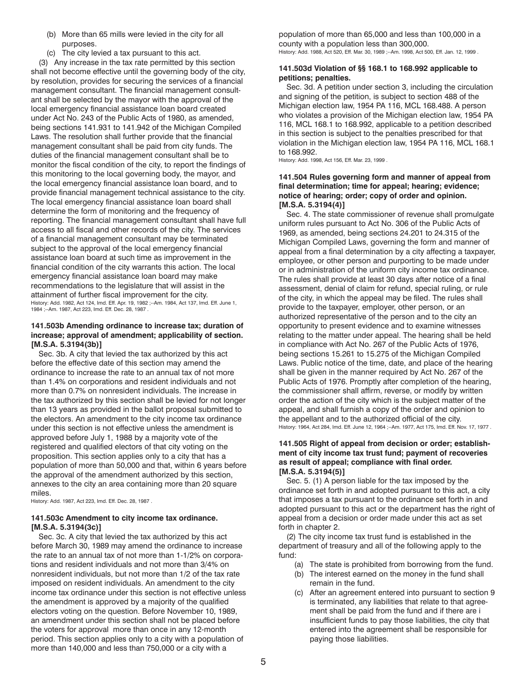- <span id="page-4-0"></span>(b) More than 65 mills were levied in the city for all purposes.
- (c) The city levied a tax pursuant to this act.

(3) Any increase in the tax rate permitted by this section shall not become effective until the governing body of the city, by resolution, provides for securing the services of a financial management consultant. The financial management consultant shall be selected by the mayor with the approval of the local emergency financial assistance loan board created under Act No. 243 of the Public Acts of 1980, as amended, being sections 141.931 to 141.942 of the Michigan Compiled Laws. The resolution shall further provide that the financial management consultant shall be paid from city funds. The duties of the financial management consultant shall be to monitor the fiscal condition of the city, to report the findings of this monitoring to the local governing body, the mayor, and the local emergency financial assistance loan board, and to provide financial management technical assistance to the city. The local emergency financial assistance loan board shall determine the form of monitoring and the frequency of reporting. The financial management consultant shall have full access to all fiscal and other records of the city. The services of a financial management consultant may be terminated subject to the approval of the local emergency financial assistance loan board at such time as improvement in the financial condition of the city warrants this action. The local emergency financial assistance loan board may make recommendations to the legislature that will assist in the attainment of further fiscal improvement for the city. History: Add. 1982, Act 124, Imd. Eff. Apr. 19, 1982 ;--Am. 1984, Act 137, Imd. Eff. June 1, 1984 ;--Am. 1987, Act 223, Imd. Eff. Dec. 28, 1987 .

# **141.503b Amending ordinance to increase tax; duration of increase; approval of amendment; applicability of section. [M.S.A. 5.3194(3b)]**

Sec. 3b. A city that levied the tax authorized by this act before the effective date of this section may amend the ordinance to increase the rate to an annual tax of not more than 1.4% on corporations and resident individuals and not more than 0.7% on nonresident individuals. The increase in the tax authorized by this section shall be levied for not longer than 13 years as provided in the ballot proposal submitted to the electors. An amendment to the city income tax ordinance under this section is not effective unless the amendment is approved before July 1, 1988 by a majority vote of the registered and qualified electors of that city voting on the proposition. This section applies only to a city that has a population of more than 50,000 and that, within 6 years before the approval of the amendment authorized by this section, annexes to the city an area containing more than 20 square miles.

History: Add. 1987, Act 223, Imd. Eff. Dec. 28, 1987 .

# **141.503c Amendment to city income tax ordinance. [M.S.A. 5.3194(3c)]**

Sec. 3c. A city that levied the tax authorized by this act before March 30, 1989 may amend the ordinance to increase the rate to an annual tax of not more than 1-1/2% on corporations and resident individuals and not more than 3/4% on nonresident individuals, but not more than 1/2 of the tax rate imposed on resident individuals. An amendment to the city income tax ordinance under this section is not effective unless the amendment is approved by a majority of the qualified electors voting on the question. Before November 10, 1989, an amendment under this section shall not be placed before the voters for approval more than once in any 12-month period. This section applies only to a city with a population of more than 140,000 and less than 750,000 or a city with a

population of more than 65,000 and less than 100,000 in a county with a population less than 300,000. History: Add. 1988, Act 520, Eff. Mar. 30, 1989 ;--Am. 1998, Act 500, Eff. Jan. 12, 1999 .

# **141.503d Violation of §§ 168.1 to 168.992 applicable to petitions; penalties.**

Sec. 3d. A petition under section 3, including the circulation and signing of the petition, is subject to section 488 of the Michigan election law, 1954 PA 116, MCL 168.488. A person who violates a provision of the Michigan election law, 1954 PA 116, MCL 168.1 to 168.992, applicable to a petition described in this section is subject to the penalties prescribed for that violation in the Michigan election law, 1954 PA 116, MCL 168.1 to 168.992.

History: Add. 1998, Act 156, Eff. Mar. 23, 1999 .

# **141.504 Rules governing form and manner of appeal from final determination; time for appeal; hearing; evidence; notice of hearing; order; copy of order and opinion. [M.S.A. 5.3194(4)]**

Sec. 4. The state commissioner of revenue shall promulgate uniform rules pursuant to Act No. 306 of the Public Acts of 1969, as amended, being sections 24.201 to 24.315 of the Michigan Compiled Laws, governing the form and manner of appeal from a final determination by a city affecting a taxpayer, employee, or other person and purporting to be made under or in administration of the uniform city income tax ordinance. The rules shall provide at least 30 days after notice of a final assessment, denial of claim for refund, special ruling, or rule of the city, in which the appeal may be filed. The rules shall provide to the taxpayer, employer, other person, or an authorized representative of the person and to the city an opportunity to present evidence and to examine witnesses relating to the matter under appeal. The hearing shall be held in compliance with Act No. 267 of the Public Acts of 1976, being sections 15.261 to 15.275 of the Michigan Compiled Laws. Public notice of the time, date, and place of the hearing shall be given in the manner required by Act No. 267 of the Public Acts of 1976. Promptly after completion of the hearing, the commissioner shall affirm, reverse, or modify by written order the action of the city which is the subject matter of the appeal, and shall furnish a copy of the order and opinion to the appellant and to the authorized official of the city. History: 1964, Act 284, Imd. Eff. June 12, 1964 ;--Am. 1977, Act 175, Imd. Eff. Nov. 17, 1977 .

# **141.505 Right of appeal from decision or order; establishment of city income tax trust fund; payment of recoveries as result of appeal; compliance with final order. [M.S.A. 5.3194(5)]**

Sec. 5. (1) A person liable for the tax imposed by the ordinance set forth in and adopted pursuant to this act, a city that imposes a tax pursuant to the ordinance set forth in and adopted pursuant to this act or the department has the right of appeal from a decision or order made under this act as set forth in chapter 2.

(2) The city income tax trust fund is established in the department of treasury and all of the following apply to the fund:

- (a) The state is prohibited from borrowing from the fund.
- (b) The interest earned on the money in the fund shall remain in the fund.
- (c) After an agreement entered into pursuant to section 9 is terminated, any liabilities that relate to that agreement shall be paid from the fund and if there are i insufficient funds to pay those liabilities, the city that entered into the agreement shall be responsible for paying those liabilities.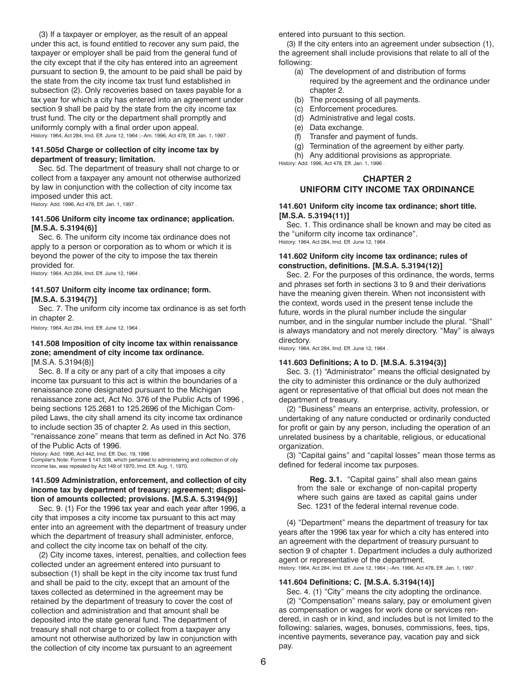<span id="page-5-0"></span>(3) If a taxpayer or employer, as the result of an appeal under this act, is found entitled to recover any sum paid, the taxpayer or employer shall be paid from the general fund of the city except that if the city has entered into an agreement pursuant to section 9, the amount to be paid shall be paid by the state from the city income tax trust fund established in subsection (2). Only recoveries based on taxes payable for a tax year for which a city has entered into an agreement under section 9 shall be paid by the state from the city income tax trust fund. The city or the department shall promptly and uniformly comply with a final order upon appeal. History: 1964, Act 284, Imd. Eff. June 12, 1964 ;--Am. 1996, Act 478, Eff. Jan. 1, 1997 .

#### **141.505d Charge or collection of city income tax by department of treasury; limitation.**

Sec. 5d. The department of treasury shall not charge to or collect from a taxpayer any amount not otherwise authorized by law in conjunction with the collection of city income tax imposed under this act.

History: Add. 1996, Act 478, Eff. Jan. 1, 1997 .

# **141.506 Uniform city income tax ordinance; application. [M.S.A. 5.3194(6)]**

Sec. 6. The uniform city income tax ordinance does not apply to a person or corporation as to whom or which it is beyond the power of the city to impose the tax therein provided for.

History: 1964, Act 284, Imd. Eff. June 12, 1964 .

# **141.507 Uniform city income tax ordinance; form. [M.S.A. 5.3194(7)]**

Sec. 7. The uniform city income tax ordinance is as set forth in chapter 2.

History: 1964, Act 284, Imd. Eff. June 12, 1964 .

# **141.508 Imposition of city income tax within renaissance zone; amendment of city income tax ordinance.**

[M.S.A. 5.3194(8)]

Sec. 8. If a city or any part of a city that imposes a city income tax pursuant to this act is within the boundaries of a renaissance zone designated pursuant to the Michigan renaissance zone act, Act No. 376 of the Public Acts of 1996 , being sections 125.2681 to 125.2696 of the Michigan Compiled Laws, the city shall amend its city income tax ordinance to include section 35 of chapter 2. As used in this section, "renaissance zone" means that term as defined in Act No. 376 of the Public Acts of 1996.

History: Add. 1996, Act 442, Imd. Eff. Dec. 19, 1996 .

Compiler's Note: Former § 141.508, which pertained to administering and collection of city income tax, was repealed by Act 149 of 1970, Imd. Eff. Aug. 1, 1970.

#### **141.509 Administration, enforcement, and collection of city income tax by department of treasury; agreement; disposition of amounts collected; provisions. [M.S.A. 5.3194(9)]**

Sec. 9. (1) For the 1996 tax year and each year after 1996, a city that imposes a city income tax pursuant to this act may enter into an agreement with the department of treasury under which the department of treasury shall administer, enforce, and collect the city income tax on behalf of the city.

(2) City income taxes, interest, penalties, and collection fees collected under an agreement entered into pursuant to subsection (1) shall be kept in the city income tax trust fund and shall be paid to the city, except that an amount of the taxes collected as determined in the agreement may be retained by the department of treasury to cover the cost of collection and administration and that amount shall be deposited into the state general fund. The department of treasury shall not charge to or collect from a taxpayer any amount not otherwise authorized by law in conjunction with the collection of city income tax pursuant to an agreement

entered into pursuant to this section.

(3) If the city enters into an agreement under subsection (1), the agreement shall include provisions that relate to all of the following:

- (a) The development of and distribution of forms required by the agreement and the ordinance under chapter 2.
- (b) The processing of all payments.
- (c) Enforcement procedures.
- (d) Administrative and legal costs.
- (e) Data exchange.
- (f) Transfer and payment of funds.
- (g) Termination of the agreement by either party.
- (h) Any additional provisions as appropriate.

History: Add. 1996, Act 478, Eff. Jan. 1, 1996 .

# **CHAPTER 2 UNIFORM CITY INCOME TAX ORDINANCE**

#### **141.601 Uniform city income tax ordinance; short title. [M.S.A. 5.3194(11)]**

Sec. 1. This ordinance shall be known and may be cited as the "uniform city income tax ordinance". History: 1964, Act 284, Imd. Eff. June 12, 1964 .

#### **141.602 Uniform city income tax ordinance; rules of construction, definitions. [M.S.A. 5.3194(12)]**

Sec. 2. For the purposes of this ordinance, the words, terms and phrases set forth in sections 3 to 9 and their derivations have the meaning given therein. When not inconsistent with the context, words used in the present tense include the future, words in the plural number include the singular number, and in the singular number include the plural. "Shall" is always mandatory and not merely directory. "May" is always directory.

History: 1964, Act 284, Imd. Eff. June 12, 1964 .

#### **141.603 Definitions; A to D. [M.S.A. 5.3194(3)]**

Sec. 3. (1) "Administrator" means the official designated by the city to administer this ordinance or the duly authorized agent or representative of that official but does not mean the department of treasury.

(2) "Business" means an enterprise, activity, profession, or undertaking of any nature conducted or ordinarily conducted for profit or gain by any person, including the operation of an unrelated business by a charitable, religious, or educational organization.

(3) "Capital gains" and "capital losses" mean those terms as defined for federal income tax purposes.

**Reg. 3.1.** "Capital gains" shall also mean gains from the sale or exchange of non-capital property where such gains are taxed as capital gains under Sec. 1231 of the federal internal revenue code.

(4) "Department" means the department of treasury for tax years after the 1996 tax year for which a city has entered into an agreement with the department of treasury pursuant to section 9 of chapter 1. Department includes a duly authorized agent or representative of the department. History: 1964, Act 284, Imd. Eff. June 12, 1964 ;--Am. 1996, Act 478, Eff. Jan. 1, 1997 .

#### **141.604 Definitions; C. [M.S.A. 5.3194(14)]**

Sec. 4. (1) "City" means the city adopting the ordinance. (2) "Compensation" means salary, pay or emolument given as compensation or wages for work done or services rendered, in cash or in kind, and includes but is not limited to the following: salaries, wages, bonuses, commissions, fees, tips, incentive payments, severance pay, vacation pay and sick pay.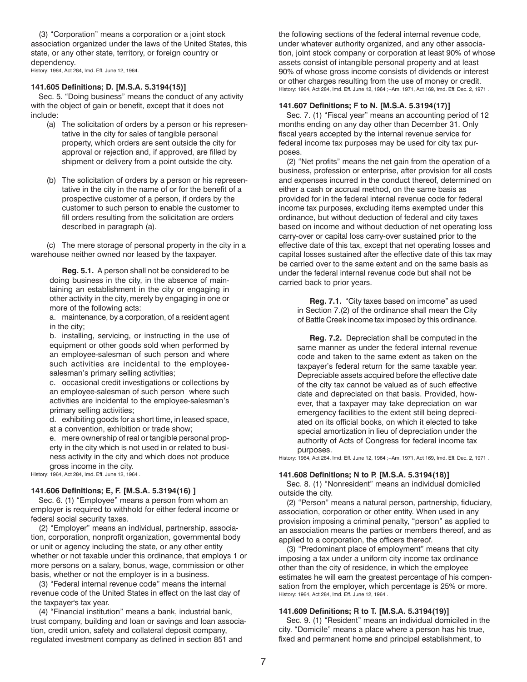<span id="page-6-0"></span>(3) "Corporation" means a corporation or a joint stock association organized under the laws of the United States, this state, or any other state, territory, or foreign country or dependency.

History: 1964, Act 284, Imd. Eff. June 12, 1964.

#### **141.605 Definitions; D. [M.S.A. 5.3194(15)]**

Sec. 5. "Doing business" means the conduct of any activity with the object of gain or benefit, except that it does not include:

- (a) The solicitation of orders by a person or his representative in the city for sales of tangible personal property, which orders are sent outside the city for approval or rejection and, if approved, are filled by shipment or delivery from a point outside the city.
- (b) The solicitation of orders by a person or his representative in the city in the name of or for the benefit of a prospective customer of a person, if orders by the customer to such person to enable the customer to fill orders resulting from the solicitation are orders described in paragraph (a).

(c) The mere storage of personal property in the city in a warehouse neither owned nor leased by the taxpayer.

**Reg. 5.1.** A person shall not be considered to be doing business in the city, in the absence of maintaining an establishment in the city or engaging in other activity in the city, merely by engaging in one or more of the following acts:

a. maintenance, by a corporation, of a resident agent in the city;

b. installing, servicing, or instructing in the use of equipment or other goods sold when performed by an employee-salesman of such person and where such activities are incidental to the employeesalesman's primary selling activities;

c. occasional credit investigations or collections by an employee-salesman of such person where such activities are incidental to the employee-salesman's primary selling activities;

d. exhibiting goods for a short time, in leased space, at a convention, exhibition or trade show;

e. mere ownership of real or tangible personal property in the city which is not used in or related to business activity in the city and which does not produce gross income in the city.

History: 1964, Act 284, Imd. Eff. June 12, 1964 .

#### **141.606 Definitions; E, F. [M.S.A. 5.3194(16) ]**

Sec. 6. (1) "Employee" means a person from whom an employer is required to withhold for either federal income or federal social security taxes.

(2) "Employer" means an individual, partnership, association, corporation, nonprofit organization, governmental body or unit or agency including the state, or any other entity whether or not taxable under this ordinance, that employs 1 or more persons on a salary, bonus, wage, commission or other basis, whether or not the employer is in a business.

(3) "Federal internal revenue code" means the internal revenue code of the United States in effect on the last day of the taxpayer's tax year.

(4) "Financial institution" means a bank, industrial bank, trust company, building and loan or savings and loan association, credit union, safety and collateral deposit company, regulated investment company as defined in section 851 and

the following sections of the federal internal revenue code, under whatever authority organized, and any other association, joint stock company or corporation at least 90% of whose assets consist of intangible personal property and at least 90% of whose gross income consists of dividends or interest or other charges resulting from the use of money or credit. History: 1964, Act 284, Imd. Eff. June 12, 1964 ;--Am. 1971, Act 169, Imd. Eff. Dec. 2, 1971 .

## **141.607 Definitions; F to N. [M.S.A. 5.3194(17)]**

Sec. 7. (1) "Fiscal year" means an accounting period of 12 months ending on any day other than December 31. Only fiscal years accepted by the internal revenue service for federal income tax purposes may be used for city tax purposes.

(2) "Net profits" means the net gain from the operation of a business, profession or enterprise, after provision for all costs and expenses incurred in the conduct thereof, determined on either a cash or accrual method, on the same basis as provided for in the federal internal revenue code for federal income tax purposes, excluding items exempted under this ordinance, but without deduction of federal and city taxes based on income and without deduction of net operating loss carry-over or capital loss carry-over sustained prior to the effective date of this tax, except that net operating losses and capital losses sustained after the effective date of this tax may be carried over to the same extent and on the same basis as under the federal internal revenue code but shall not be carried back to prior years.

**Reg. 7.1.** "City taxes based on imcome" as used in Section 7.(2) of the ordinance shall mean the City of Battle Creek income tax imposed by this ordinance.

**Reg. 7.2.** Depreciation shall be computed in the same manner as under the federal internal revenue code and taken to the same extent as taken on the taxpayer's federal return for the same taxable year. Depreciable assets acquired before the effective date of the city tax cannot be valued as of such effective date and depreciated on that basis. Provided, however, that a taxpayer may take depreciation on war emergency facilities to the extent still being depreciated on its official books, on which it elected to take special amortization in lieu of depreciation under the authority of Acts of Congress for federal income tax purposes.

History: 1964, Act 284, Imd. Eff. June 12, 1964 ;--Am. 1971, Act 169, Imd. Eff. Dec. 2, 1971 .

#### **141.608 Definitions; N to P. [M.S.A. 5.3194(18)]**

Sec. 8. (1) "Nonresident" means an individual domiciled outside the city.

(2) "Person" means a natural person, partnership, fiduciary, association, corporation or other entity. When used in any provision imposing a criminal penalty, "person" as applied to an association means the parties or members thereof, and as applied to a corporation, the officers thereof.

(3) "Predominant place of employment" means that city imposing a tax under a uniform city income tax ordinance other than the city of residence, in which the employee estimates he will earn the greatest percentage of his compensation from the employer, which percentage is 25% or more. History: 1964, Act 284, Imd. Eff. June 12, 1964 .

#### **141.609 Definitions; R to T. [M.S.A. 5.3194(19)]**

Sec. 9. (1) "Resident" means an individual domiciled in the city. "Domicile" means a place where a person has his true, fixed and permanent home and principal establishment, to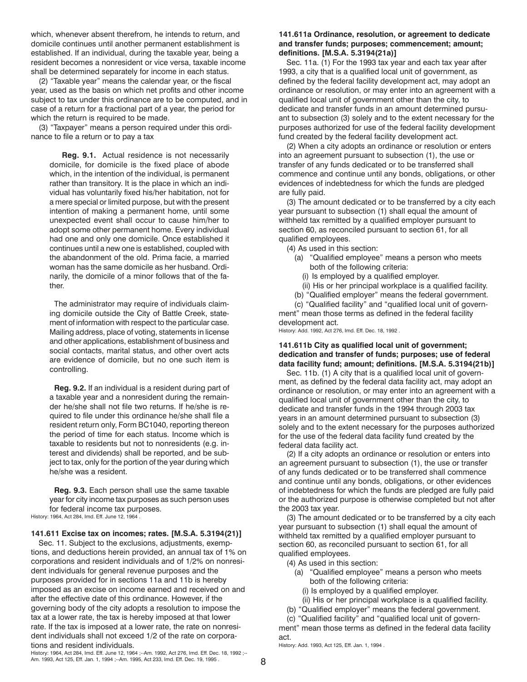<span id="page-7-0"></span>which, whenever absent therefrom, he intends to return, and domicile continues until another permanent establishment is established. If an individual, during the taxable year, being a resident becomes a nonresident or vice versa, taxable income shall be determined separately for income in each status.

(2) "Taxable year" means the calendar year, or the fiscal year, used as the basis on which net profits and other income subject to tax under this ordinance are to be computed, and in case of a return for a fractional part of a year, the period for which the return is required to be made.

(3) "Taxpayer" means a person required under this ordinance to file a return or to pay a tax

**Reg. 9.1.** Actual residence is not necessarily domicile, for domicile is the fixed place of abode which, in the intention of the individual, is permanent rather than transitory. It is the place in which an individual has voluntarily fixed his/her habitation, not for a mere special or limited purpose, but with the present intention of making a permanent home, until some unexpected event shall occur to cause him/her to adopt some other permanent home. Every individual had one and only one domicile. Once established it continues until a new one is established, coupled with the abandonment of the old. Prima facie, a married woman has the same domicile as her husband. Ordinarily, the domicile of a minor follows that of the father.

The administrator may require of individuals claiming domicile outside the City of Battle Creek, statement of information with respect to the particular case. Mailing address, place of voting, statements in license and other applications, establishment of business and social contacts, marital status, and other overt acts are evidence of domicile, but no one such item is controlling.

**Reg. 9.2.** If an individual is a resident during part of a taxable year and a nonresident during the remainder he/she shall not file two returns. If he/she is required to file under this ordinance he/she shall file a resident return only, Form BC1040, reporting thereon the period of time for each status. Income which is taxable to residents but not to nonresidents (e.g. interest and dividends) shall be reported, and be subject to tax, only for the portion of the year during which he/she was a resident.

**Reg. 9.3.** Each person shall use the same taxable year for city income tax purposes as such person uses for federal income tax purposes.

History: 1964, Act 284, Imd. Eff. June 12, 1964 .

#### **141.611 Excise tax on incomes; rates. [M.S.A. 5.3194(21)]**

Sec. 11. Subject to the exclusions, adjustments, exemptions, and deductions herein provided, an annual tax of 1% on corporations and resident individuals and of 1/2% on nonresident individuals for general revenue purposes and the purposes provided for in sections 11a and 11b is hereby imposed as an excise on income earned and received on and after the effective date of this ordinance. However, if the governing body of the city adopts a resolution to impose the tax at a lower rate, the tax is hereby imposed at that lower rate. If the tax is imposed at a lower rate, the rate on nonresident individuals shall not exceed 1/2 of the rate on corporations and resident individuals.

#### History: 1964, Act 284, Imd. Eff. June 12, 1964 ;--Am. 1992, Act 276, Imd. Eff. Dec. 18, 1992 ;-- Am. 1993, Act 125, Eff. Jan. 1, 1994 ;--Am. 1995, Act 233, Imd. Eff. Dec. 19, 1995 .

# **141.611a Ordinance, resolution, or agreement to dedicate and transfer funds; purposes; commencement; amount; definitions. [M.S.A. 5.3194(21a)]**

Sec. 11a. (1) For the 1993 tax year and each tax year after 1993, a city that is a qualified local unit of government, as defined by the federal facility development act, may adopt an ordinance or resolution, or may enter into an agreement with a qualified local unit of government other than the city, to dedicate and transfer funds in an amount determined pursuant to subsection (3) solely and to the extent necessary for the purposes authorized for use of the federal facility development fund created by the federal facility development act.

(2) When a city adopts an ordinance or resolution or enters into an agreement pursuant to subsection (1), the use or transfer of any funds dedicated or to be transferred shall commence and continue until any bonds, obligations, or other evidences of indebtedness for which the funds are pledged are fully paid.

(3) The amount dedicated or to be transferred by a city each year pursuant to subsection (1) shall equal the amount of withheld tax remitted by a qualified employer pursuant to section 60, as reconciled pursuant to section 61, for all qualified employees.

(4) As used in this section:

- (a) "Qualified employee" means a person who meets both of the following criteria:
	- (i) Is employed by a qualified employer.
- (ii) His or her principal workplace is a qualified facility.

(b) "Qualified employer" means the federal government.

(c) "Qualified facility" and "qualified local unit of government" mean those terms as defined in the federal facility development act.

History: Add. 1992, Act 276, Imd. Eff. Dec. 18, 1992 .

# **141.611b City as qualified local unit of government; dedication and transfer of funds; purposes; use of federal data facility fund; amount; definitions. [M.S.A. 5.3194(21b)]**

Sec. 11b. (1) A city that is a qualified local unit of government, as defined by the federal data facility act, may adopt an ordinance or resolution, or may enter into an agreement with a qualified local unit of government other than the city, to dedicate and transfer funds in the 1994 through 2003 tax years in an amount determined pursuant to subsection (3) solely and to the extent necessary for the purposes authorized for the use of the federal data facility fund created by the federal data facility act.

(2) If a city adopts an ordinance or resolution or enters into an agreement pursuant to subsection (1), the use or transfer of any funds dedicated or to be transferred shall commence and continue until any bonds, obligations, or other evidences of indebtedness for which the funds are pledged are fully paid or the authorized purpose is otherwise completed but not after the 2003 tax year.

(3) The amount dedicated or to be transferred by a city each year pursuant to subsection (1) shall equal the amount of withheld tax remitted by a qualified employer pursuant to section 60, as reconciled pursuant to section 61, for all qualified employees.

- (4) As used in this section:
	- (a) "Qualified employee" means a person who meets both of the following criteria:
		- (i) Is employed by a qualified employer.
	- (ii) His or her principal workplace is a qualified facility.
- (b) "Qualified employer" means the federal government.
- (c) "Qualified facility" and "qualified local unit of govern-

ment" mean those terms as defined in the federal data facility act.

History: Add. 1993, Act 125, Eff. Jan. 1, 1994 .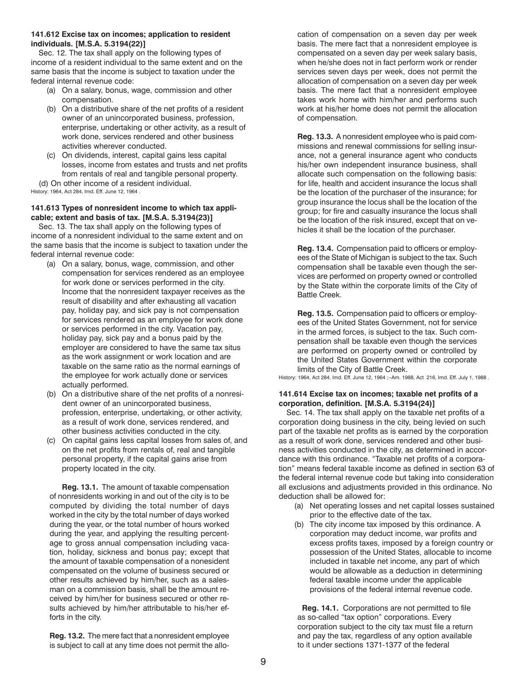#### <span id="page-8-0"></span>**141.612 Excise tax on incomes; application to resident individuals. [M.S.A. 5.3194(22)]**

Sec. 12. The tax shall apply on the following types of income of a resident individual to the same extent and on the same basis that the income is subject to taxation under the federal internal revenue code:

- (a) On a salary, bonus, wage, commission and other compensation.
- (b) On a distributive share of the net profits of a resident owner of an unincorporated business, profession, enterprise, undertaking or other activity, as a result of work done, services rendered and other business activities wherever conducted.
- (c) On dividends, interest, capital gains less capital losses, income from estates and trusts and net profits from rentals of real and tangible personal property.

(d) On other income of a resident individual. History: 1964, Act 284, Imd. Eff. June 12, 1964 .

# **141.613 Types of nonresident income to which tax applicable; extent and basis of tax. [M.S.A. 5.3194(23)]**

Sec. 13. The tax shall apply on the following types of income of a nonresident individual to the same extent and on the same basis that the income is subject to taxation under the federal internal revenue code:

- (a) On a salary, bonus, wage, commission, and other compensation for services rendered as an employee for work done or services performed in the city. Income that the nonresident taxpayer receives as the result of disability and after exhausting all vacation pay, holiday pay, and sick pay is not compensation for services rendered as an employee for work done or services performed in the city. Vacation pay, holiday pay, sick pay and a bonus paid by the employer are considered to have the same tax situs as the work assignment or work location and are taxable on the same ratio as the normal earnings of the employee for work actually done or services actually performed.
- (b) On a distributive share of the net profits of a nonresident owner of an unincorporated business, profession, enterprise, undertaking, or other activity, as a result of work done, services rendered, and other business activities conducted in the city.
- (c) On capital gains less capital losses from sales of, and on the net profits from rentals of, real and tangible personal property, if the capital gains arise from property located in the city.

**Reg. 13.1.** The amount of taxable compensation of nonresidents working in and out of the city is to be computed by dividing the total number of days worked in the city by the total number of days worked during the year, or the total number of hours worked during the year, and applying the resulting percentage to gross annual compensation including vacation, holiday, sickness and bonus pay; except that the amount of taxable compensation of a nonesident compensated on the volume of business secured or other results achieved by him/her, such as a salesman on a commission basis, shall be the amount received by him/her for business secured or other results achieved by him/her attributable to his/her efforts in the city.

**Reg. 13.2.** The mere fact that a nonresident employee is subject to call at any time does not permit the allocation of compensation on a seven day per week basis. The mere fact that a nonresident employee is compensated on a seven day per week salary basis, when he/she does not in fact perform work or render services seven days per week, does not permit the allocation of compensation on a seven day per week basis. The mere fact that a nonresident employee takes work home with him/her and performs such work at his/her home does not permit the allocation of compensation.

**Reg. 13.3.** A nonresident employee who is paid commissions and renewal commissions for selling insurance, not a general insurance agent who conducts his/her own independent insurance business, shall allocate such compensation on the following basis: for life, health and accident insurance the locus shall be the location of the purchaser of the insurance; for group insurance the locus shall be the location of the group; for fire and casualty insurance the locus shall be the location of the risk insured, except that on vehicles it shall be the location of the purchaser.

**Reg. 13.4.** Compensation paid to officers or employees of the State of Michigan is subject to the tax. Such compensation shall be taxable even though the services are performed on property owned or controlled by the State within the corporate limits of the City of Battle Creek.

**Reg. 13.5.** Compensation paid to officers or employees of the United States Government, not for service in the armed forces, is subject to the tax. Such compensation shall be taxable even though the services are performed on property owned or controlled by the United States Government within the corporate limits of the City of Battle Creek.

History: 1964, Act 284, Imd. Eff. June 12, 1964 ;--Am. 1988, Act 216, Imd. Eff. July 1, 1988 .

#### **141.614 Excise tax on incomes; taxable net profits of a corporation, definition. [M.S.A. 5.3194(24)]**

Sec. 14. The tax shall apply on the taxable net profits of a corporation doing business in the city, being levied on such part of the taxable net profits as is earned by the corporation as a result of work done, services rendered and other business activities conducted in the city, as determined in accordance with this ordinance. "Taxable net profits of a corporation" means federal taxable income as defined in section 63 of the federal internal revenue code but taking into consideration all exclusions and adjustments provided in this ordinance. No deduction shall be allowed for:

- (a) Net operating losses and net capital losses sustained prior to the effective date of the tax.
- (b) The city income tax imposed by this ordinance. A corporation may deduct income, war profits and excess profits taxes, imposed by a foreign country or possession of the United States, allocable to income included in taxable net income, any part of which would be allowable as a deduction in determining federal taxable income under the applicable provisions of the federal internal revenue code.

**Reg. 14.1.** Corporations are not permitted to file as so-called "tax option" corporations. Every corporation subject to the city tax must file a return and pay the tax, regardless of any option available to it under sections 1371-1377 of the federal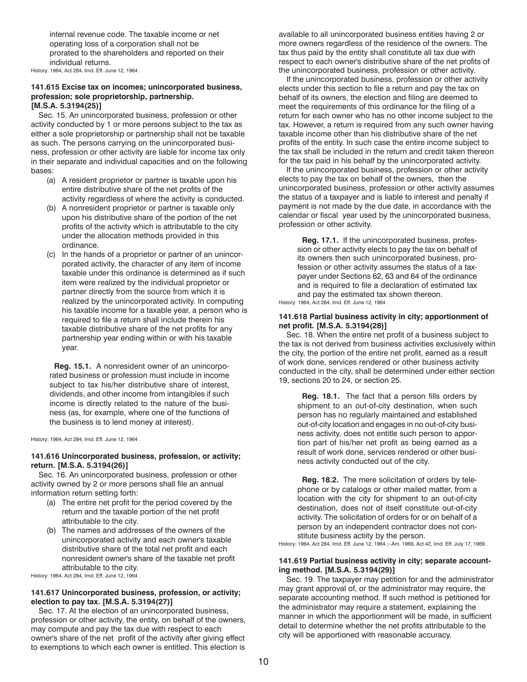<span id="page-9-0"></span>internal revenue code. The taxable income or net operating loss of a corporation shall not be prorated to the shareholders and reported on their individual returns.

History: 1964, Act 284, Imd. Eff. June 12, 1964 .

#### **141.615 Excise tax on incomes; unincorporated business, profession; sole proprietorship, partnership. [M.S.A. 5.3194(25)]**

Sec. 15. An unincorporated business, profession or other activity conducted by 1 or more persons subject to the tax as either a sole proprietorship or partnership shall not be taxable as such. The persons carrying on the unincorporated business, profession or other activity are liable for income tax only in their separate and individual capacities and on the following bases:

- (a) A resident proprietor or partner is taxable upon his entire distributive share of the net profits of the activity regardless of where the activity is conducted.
- (b) A nonresident proprietor or partner is taxable only upon his distributive share of the portion of the net profits of the activity which is attributable to the city under the allocation methods provided in this ordinance.
- (c) In the hands of a proprietor or partner of an unincorporated activity, the character of any item of income taxable under this ordinance is determined as if such item were realized by the individual proprietor or partner directly from the source from which it is realized by the unincorporated activity. In computing his taxable income for a taxable year, a person who is required to file a return shall include therein his taxable distributive share of the net profits for any partnership year ending within or with his taxable year.

**Reg. 15.1.** A nonresident owner of an unincorporated business or profession must include in income subject to tax his/her distributive share of interest, dividends, and other income from intangibles if such income is directly related to the nature of the business (as, for example, where one of the functions of the business is to lend money at interest).

History: 1964, Act 284, Imd. Eff. June 12, 1964 .

#### **141.616 Unincorporated business, profession, or activity; return. [M.S.A. 5.3194(26)]**

Sec. 16. An unincorporated business, profession or other activity owned by 2 or more persons shall file an annual information return setting forth:

- (a) The entire net profit for the period covered by the return and the taxable portion of the net profit attributable to the city.
- (b) The names and addresses of the owners of the unincorporated activity and each owner's taxable distributive share of the total net profit and each nonresident owner's share of the taxable net profit attributable to the city.

History: 1964, Act 284, Imd. Eff. June 12, 1964 .

#### **141.617 Unincorporated business, profession, or activity; election to pay tax. [M.S.A. 5.3194(27)]**

Sec. 17. At the election of an unincorporated business, profession or other activity, the entity, on behalf of the owners, may compute and pay the tax due with respect to each owner's share of the net profit of the activity after giving effect to exemptions to which each owner is entitled. This election is available to all unincorporated business entities having 2 or more owners regardless of the residence of the owners. The tax thus paid by the entity shall constitute all tax due with respect to each owner's distributive share of the net profits of the unincorporated business, profession or other activity.

If the unincorporated business, profession or other activity elects under this section to file a return and pay the tax on behalf of its owners, the election and filing are deemed to meet the requirements of this ordinance for the filing of a return for each owner who has no other income subject to the tax. However, a return is required from any such owner having taxable income other than his distributive share of the net profits of the entity. In such case the entire income subject to the tax shall be included in the return and credit taken thereon for the tax paid in his behalf by the unincorporated activity.

If the unincorporated business, profession or other activity elects to pay the tax on behalf of the owners, then the unincorporated business, profession or other activity assumes the status of a taxpayer and is liable to interest and penalty if payment is not made by the due date, in accordance with the calendar or fiscal year used by the unincorporated business, profession or other activity.

**Reg. 17.1.** If the unincorporated business, profession or other activity elects to pay the tax on behalf of its owners then such unincorporated business, profession or other activity assumes the status of a taxpayer under Sections 62, 63 and 64 of the ordinance and is required to file a declaration of estimated tax and pay the estimated tax shown thereon. History: 1964, Act 284, Imd. Eff. June 12, 1964 .

#### **141.618 Partial business activity in city; apportionment of net profit. [M.S.A. 5.3194(28)]**

Sec. 18. When the entire net profit of a business subject to the tax is not derived from business activities exclusively within the city, the portion of the entire net profit, earned as a result of work done, services rendered or other business activity conducted in the city, shall be determined under either section 19, sections 20 to 24, or section 25.

**Reg. 18.1.** The fact that a person fills orders by shipment to an out-of-city destination, when such person has no regularly maintained and established out-of-city location and engages in no out-of-city business activity, does not entitle such person to apportion part of his/her net profit as being earned as a result of work done, services rendered or other business activity conducted out of the city.

**Reg. 18.2.** The mere solicitation of orders by telephone or by catalogs or other mailed matter, from a location with the city for shipment to an out-of-city destination, does not of itself constitute out-of-city activity. The solicitation of orders for or on behalf of a person by an independent contractor does not constitute business actiity by the person.

History: 1964, Act 284, Imd. Eff. June 12, 1964 ;--Am. 1969, Act 42, Imd. Eff. July 17, 1969 .

#### **141.619 Partial business activity in city; separate accounting method. [M.S.A. 5.3194(29)]**

Sec. 19. The taxpayer may petition for and the administrator may grant approval of, or the administrator may require, the separate accounting method. If such method is petitioned for the administrator may require a statement, explaining the manner in which the apportionment will be made, in sufficient detail to determine whether the net profits attributable to the city will be apportioned with reasonable accuracy.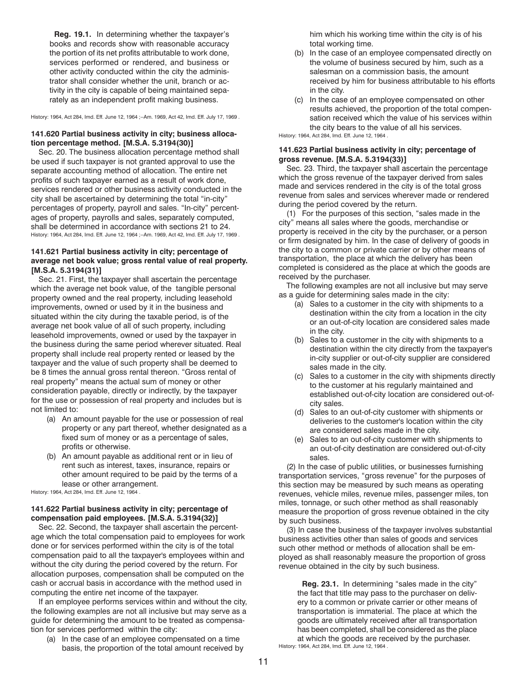<span id="page-10-0"></span>**Reg. 19.1.** In determining whether the taxpayer's books and records show with reasonable accuracy the portion of its net profits attributable to work done, services performed or rendered, and business or other activity conducted within the city the administrator shall consider whether the unit, branch or activity in the city is capable of being maintained separately as an independent profit making business.

History: 1964, Act 284, Imd. Eff. June 12, 1964 ;--Am. 1969, Act 42, Imd. Eff. July 17, 1969 .

### **141.620 Partial business activity in city; business allocation percentage method. [M.S.A. 5.3194(30)]**

Sec. 20. The business allocation percentage method shall be used if such taxpayer is not granted approval to use the separate accounting method of allocation. The entire net profits of such taxpayer earned as a result of work done, services rendered or other business activity conducted in the city shall be ascertained by determining the total "in-city" percentages of property, payroll and sales. "In-city" percentages of property, payrolls and sales, separately computed, shall be determined in accordance with sections 21 to 24. History: 1964, Act 284, Imd. Eff. June 12, 1964 ;--Am. 1969, Act 42, Imd. Eff. July 17, 1969 .

#### **141.621 Partial business activity in city; percentage of average net book value; gross rental value of real property. [M.S.A. 5.3194(31)]**

Sec. 21. First, the taxpayer shall ascertain the percentage which the average net book value, of the tangible personal property owned and the real property, including leasehold improvements, owned or used by it in the business and situated within the city during the taxable period, is of the average net book value of all of such property, including leasehold improvements, owned or used by the taxpayer in the business during the same period wherever situated. Real property shall include real property rented or leased by the taxpayer and the value of such property shall be deemed to be 8 times the annual gross rental thereon. "Gross rental of real property" means the actual sum of money or other consideration payable, directly or indirectly, by the taxpayer for the use or possession of real property and includes but is not limited to:

- (a) An amount payable for the use or possession of real property or any part thereof, whether designated as a fixed sum of money or as a percentage of sales, profits or otherwise.
- (b) An amount payable as additional rent or in lieu of rent such as interest, taxes, insurance, repairs or other amount required to be paid by the terms of a lease or other arrangement.

History: 1964, Act 284, Imd. Eff. June 12, 1964 .

## **141.622 Partial business activity in city; percentage of compensation paid employees. [M.S.A. 5.3194(32)]**

Sec. 22. Second, the taxpayer shall ascertain the percentage which the total compensation paid to employees for work done or for services performed within the city is of the total compensation paid to all the taxpayer's employees within and without the city during the period covered by the return. For allocation purposes, compensation shall be computed on the cash or accrual basis in accordance with the method used in computing the entire net income of the taxpayer.

If an employee performs services within and without the city, the following examples are not all inclusive but may serve as a guide for determining the amount to be treated as compensation for services performed within the city:

(a) In the case of an employee compensated on a time basis, the proportion of the total amount received by him which his working time within the city is of his total working time.

- (b) In the case of an employee compensated directly on the volume of business secured by him, such as a salesman on a commission basis, the amount received by him for business attributable to his efforts in the city.
- (c) In the case of an employee compensated on other results achieved, the proportion of the total compensation received which the value of his services within the city bears to the value of all his services.

History: 1964, Act 284, Imd. Eff. June 12, 1964 .

# **141.623 Partial business activity in city; percentage of gross revenue. [M.S.A. 5.3194(33)]**

Sec. 23. Third, the taxpayer shall ascertain the percentage which the gross revenue of the taxpayer derived from sales made and services rendered in the city is of the total gross revenue from sales and services wherever made or rendered during the period covered by the return.

(1) For the purposes of this section, "sales made in the city" means all sales where the goods, merchandise or property is received in the city by the purchaser, or a person or firm designated by him. In the case of delivery of goods in the city to a common or private carrier or by other means of transportation, the place at which the delivery has been completed is considered as the place at which the goods are received by the purchaser.

The following examples are not all inclusive but may serve as a guide for determining sales made in the city:

- (a) Sales to a customer in the city with shipments to a destination within the city from a location in the city or an out-of-city location are considered sales made in the city.
- (b) Sales to a customer in the city with shipments to a destination within the city directly from the taxpayer's in-city supplier or out-of-city supplier are considered sales made in the city.
- (c) Sales to a customer in the city with shipments directly to the customer at his regularly maintained and established out-of-city location are considered out-ofcity sales.
- (d) Sales to an out-of-city customer with shipments or deliveries to the customer's location within the city are considered sales made in the city.
- (e) Sales to an out-of-city customer with shipments to an out-of-city destination are considered out-of-city sales.

(2) In the case of public utilities, or businesses furnishing transportation services, "gross revenue" for the purposes of this section may be measured by such means as operating revenues, vehicle miles, revenue miles, passenger miles, ton miles, tonnage, or such other method as shall reasonably measure the proportion of gross revenue obtained in the city by such business.

(3) In case the business of the taxpayer involves substantial business activities other than sales of goods and services such other method or methods of allocation shall be employed as shall reasonably measure the proportion of gross revenue obtained in the city by such business.

**Reg. 23.1.** In determining "sales made in the city" the fact that title may pass to the purchaser on delivery to a common or private carrier or other means of transportation is immaterial. The place at which the goods are ultimately received after all transportation has been completed, shall be considered as the place at which the goods are received by the purchaser.

History: 1964, Act 284, Imd. Eff. June 12, 1964 .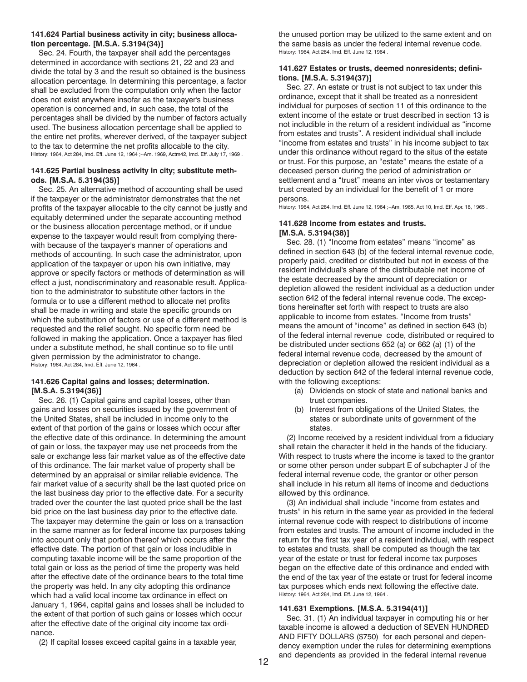#### <span id="page-11-0"></span>**141.624 Partial business activity in city; business allocation percentage. [M.S.A. 5.3194(34)]**

Sec. 24. Fourth, the taxpayer shall add the percentages determined in accordance with sections 21, 22 and 23 and divide the total by 3 and the result so obtained is the business allocation percentage. In determining this percentage, a factor shall be excluded from the computation only when the factor does not exist anywhere insofar as the taxpayer's business operation is concerned and, in such case, the total of the percentages shall be divided by the number of factors actually used. The business allocation percentage shall be applied to the entire net profits, wherever derived, of the taxpayer subject to the tax to determine the net profits allocable to the city. History: 1964, Act 284, Imd. Eff. June 12, 1964 ;--Am. 1969, Actm42, Imd. Eff. July 17, 1969 .

## **141.625 Partial business activity in city; substitute methods. [M.S.A. 5.3194(35)]**

Sec. 25. An alternative method of accounting shall be used if the taxpayer or the administrator demonstrates that the net profits of the taxpayer allocable to the city cannot be justly and equitably determined under the separate accounting method or the business allocation percentage method, or if undue expense to the taxpayer would result from complying therewith because of the taxpayer's manner of operations and methods of accounting. In such case the administrator, upon application of the taxpayer or upon his own initiative, may approve or specify factors or methods of determination as will effect a just, nondiscriminatory and reasonable result. Application to the administrator to substitute other factors in the formula or to use a different method to allocate net profits shall be made in writing and state the specific grounds on which the substitution of factors or use of a different method is requested and the relief sought. No specific form need be followed in making the application. Once a taxpayer has filed under a substitute method, he shall continue so to file until given permission by the administrator to change. History: 1964, Act 284, Imd. Eff. June 12, 1964 .

# **141.626 Capital gains and losses; determination. [M.S.A. 5.3194(36)]**

Sec. 26. (1) Capital gains and capital losses, other than gains and losses on securities issued by the government of the United States, shall be included in income only to the extent of that portion of the gains or losses which occur after the effective date of this ordinance. In determining the amount of gain or loss, the taxpayer may use net proceeds from the sale or exchange less fair market value as of the effective date of this ordinance. The fair market value of property shall be determined by an appraisal or similar reliable evidence. The fair market value of a security shall be the last quoted price on the last business day prior to the effective date. For a security traded over the counter the last quoted price shall be the last bid price on the last business day prior to the effective date. The taxpayer may determine the gain or loss on a transaction in the same manner as for federal income tax purposes taking into account only that portion thereof which occurs after the effective date. The portion of that gain or loss includible in computing taxable income will be the same proportion of the total gain or loss as the period of time the property was held after the effective date of the ordinance bears to the total time the property was held. In any city adopting this ordinance which had a valid local income tax ordinance in effect on January 1, 1964, capital gains and losses shall be included to the extent of that portion of such gains or losses which occur after the effective date of the original city income tax ordinance.

(2) If capital losses exceed capital gains in a taxable year,

the unused portion may be utilized to the same extent and on the same basis as under the federal internal revenue code. History: 1964, Act 284, Imd. Eff. June 12, 1964 .

# **141.627 Estates or trusts, deemed nonresidents; definitions. [M.S.A. 5.3194(37)]**

Sec. 27. An estate or trust is not subject to tax under this ordinance, except that it shall be treated as a nonresident individual for purposes of section 11 of this ordinance to the extent income of the estate or trust described in section 13 is not includible in the return of a resident individual as "income from estates and trusts". A resident individual shall include "income from estates and trusts" in his income subject to tax under this ordinance without regard to the situs of the estate or trust. For this purpose, an "estate" means the estate of a deceased person during the period of administration or settlement and a "trust" means an inter vivos or testamentary trust created by an individual for the benefit of 1 or more persons.

History: 1964, Act 284, Imd. Eff. June 12, 1964 ;--Am. 1965, Act 10, Imd. Eff. Apr. 18, 1965 .

### **141.628 Income from estates and trusts. [M.S.A. 5.3194(38)]**

Sec. 28. (1) "Income from estates" means "income" as defined in section 643 (b) of the federal internal revenue code, properly paid, credited or distributed but not in excess of the resident individual's share of the distributable net income of the estate decreased by the amount of depreciation or depletion allowed the resident individual as a deduction under section 642 of the federal internal revenue code. The exceptions hereinafter set forth with respect to trusts are also applicable to income from estates. "Income from trusts" means the amount of "income" as defined in section 643 (b) of the federal internal revenue code, distributed or required to be distributed under sections 652 (a) or 662 (a) (1) of the federal internal revenue code, decreased by the amount of depreciation or depletion allowed the resident individual as a deduction by section 642 of the federal internal revenue code, with the following exceptions:

- (a) Dividends on stock of state and national banks and trust companies.
- (b) Interest from obligations of the United States, the states or subordinate units of government of the states.

(2) Income received by a resident individual from a fiduciary shall retain the character it held in the hands of the fiduciary. With respect to trusts where the income is taxed to the grantor or some other person under subpart E of subchapter J of the federal internal revenue code, the grantor or other person shall include in his return all items of income and deductions allowed by this ordinance.

(3) An individual shall include "income from estates and trusts" in his return in the same year as provided in the federal internal revenue code with respect to distributions of income from estates and trusts. The amount of income included in the return for the first tax year of a resident individual, with respect to estates and trusts, shall be computed as though the tax year of the estate or trust for federal income tax purposes began on the effective date of this ordinance and ended with the end of the tax year of the estate or trust for federal income tax purposes which ends next following the effective date. History: 1964, Act 284, Imd. Eff. June 12, 1964 .

# **141.631 Exemptions. [M.S.A. 5.3194(41)]**

Sec. 31. (1) An individual taxpayer in computing his or her taxable income is allowed a deduction of SEVEN HUNDRED AND FIFTY DOLLARS (\$750) for each personal and dependency exemption under the rules for determining exemptions and dependents as provided in the federal internal revenue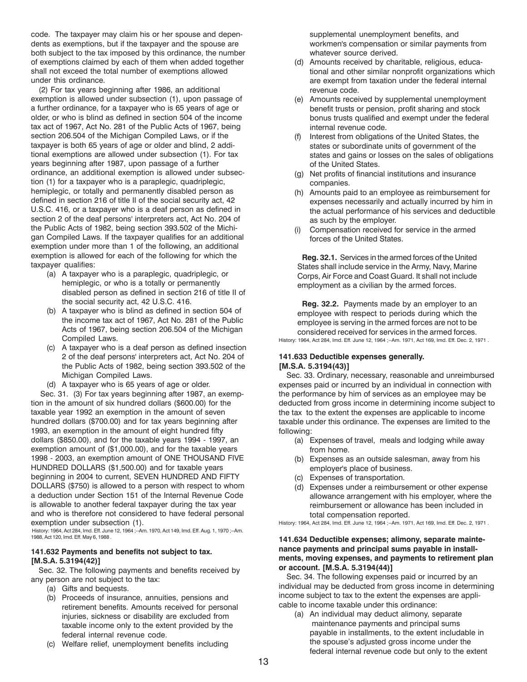code. The taxpayer may claim his or her spouse and dependents as exemptions, but if the taxpayer and the spouse are both subject to the tax imposed by this ordinance, the number of exemptions claimed by each of them when added together shall not exceed the total number of exemptions allowed under this ordinance.

(2) For tax years beginning after 1986, an additional exemption is allowed under subsection (1), upon passage of a further ordinance, for a taxpayer who is 65 years of age or older, or who is blind as defined in section 504 of the income tax act of 1967, Act No. 281 of the Public Acts of 1967, being section 206.504 of the Michigan Compiled Laws, or if the taxpayer is both 65 years of age or older and blind, 2 additional exemptions are allowed under subsection (1). For tax years beginning after 1987, upon passage of a further ordinance, an additional exemption is allowed under subsection (1) for a taxpayer who is a paraplegic, quadriplegic, hemiplegic, or totally and permanently disabled person as defined in section 216 of title II of the social security act, 42 U.S.C. 416, or a taxpayer who is a deaf person as defined in section 2 of the deaf persons' interpreters act, Act No. 204 of the Public Acts of 1982, being section 393.502 of the Michigan Compiled Laws. If the taxpayer qualifies for an additional exemption under more than 1 of the following, an additional exemption is allowed for each of the following for which the taxpayer qualifies:

- (a) A taxpayer who is a paraplegic, quadriplegic, or hemiplegic, or who is a totally or permanently disabled person as defined in section 216 of title II of the social security act, 42 U.S.C. 416.
- (b) A taxpayer who is blind as defined in section 504 of the income tax act of 1967, Act No. 281 of the Public Acts of 1967, being section 206.504 of the Michigan Compiled Laws.
- (c) A taxpayer who is a deaf person as defined insection 2 of the deaf persons' interpreters act, Act No. 204 of the Public Acts of 1982, being section 393.502 of the Michigan Compiled Laws.
- (d) A taxpayer who is 65 years of age or older.

 Sec. 31. (3) For tax years beginning after 1987, an exemption in the amount of six hundred dollars (\$600.00) for the taxable year 1992 an exemption in the amount of seven hundred dollars (\$700.00) and for tax years beginning after 1993, an exemption in the amount of eight hundred fifty dollars (\$850.00), and for the taxable years 1994 - 1997, an exemption amount of (\$1,000.00), and for the taxable years 1998 - 2003, an exemption amount of ONE THOUSAND FIVE HUNDRED DOLLARS (\$1,500.00) and for taxable years beginning in 2004 to current, SEVEN HUNDRED AND FIFTY DOLLARS (\$750) is allowed to a person with respect to whom a deduction under Section 151 of the Internal Revenue Code is allowable to another federal taxpayer during the tax year and who is therefore not considered to have federal personal exemption under subsection (1).

 History: 1964, Act 284, Imd. Eff. June 12, 1964 ;--Am. 1970, Act 149, Imd. Eff. Aug. 1, 1970 ;--Am. 1988, Act 120, Imd. Eff. May 6, 1988 .

#### **141.632 Payments and benefits not subject to tax. [M.S.A. 5.3194(42)]**

Sec. 32. The following payments and benefits received by any person are not subject to the tax:

- (a) Gifts and bequests.
- (b) Proceeds of insurance, annuities, pensions and retirement benefits. Amounts received for personal injuries, sickness or disability are excluded from taxable income only to the extent provided by the federal internal revenue code.
- (c) Welfare relief, unemployment benefits including

supplemental unemployment benefits, and workmen's compensation or similar payments from whatever source derived.

- (d) Amounts received by charitable, religious, educational and other similar nonprofit organizations which are exempt from taxation under the federal internal revenue code.
- (e) Amounts received by supplemental unemployment benefit trusts or pension, profit sharing and stock bonus trusts qualified and exempt under the federal internal revenue code.
- (f) Interest from obligations of the United States, the states or subordinate units of government of the states and gains or losses on the sales of obligations of the United States.
- (g) Net profits of financial institutions and insurance companies.
- (h) Amounts paid to an employee as reimbursement for expenses necessarily and actually incurred by him in the actual performance of his services and deductible as such by the employer.
- (i) Compensation received for service in the armed forces of the United States.

**Reg. 32.1.** Services in the armed forces of the United States shall include service in the Army, Navy, Marine Corps, Air Force and Coast Guard. It shall not include employment as a civilian by the armed forces.

**Reg. 32.2.** Payments made by an employer to an employee with respect to periods during which the employee is serving in the armed forces are not to be considered received for services in the armed forces. History: 1964, Act 284, Imd. Eff. June 12, 1964 ;--Am. 1971, Act 169, Imd. Eff. Dec. 2, 1971 .

#### **141.633 Deductible expenses generally. [M.S.A. 5.3194(43)]**

Sec. 33. Ordinary, necessary, reasonable and unreimbursed expenses paid or incurred by an individual in connection with the performance by him of services as an employee may be deducted from gross income in determining income subject to the tax to the extent the expenses are applicable to income taxable under this ordinance. The expenses are limited to the following:

- (a) Expenses of travel, meals and lodging while away from home.
- (b) Expenses as an outside salesman, away from his employer's place of business.
- (c) Expenses of transportation.
- (d) Expenses under a reimbursement or other expense allowance arrangement with his employer, where the reimbursement or allowance has been included in total compensation reported.

History: 1964, Act 284, Imd. Eff. June 12, 1964 ;--Am. 1971, Act 169, Imd. Eff. Dec. 2, 1971 .

## **141.634 Deductible expenses; alimony, separate maintenance payments and principal sums payable in installments, moving expenses, and payments to retirement plan or account. [M.S.A. 5.3194(44)]**

Sec. 34. The following expenses paid or incurred by an individual may be deducted from gross income in determining income subject to tax to the extent the expenses are applicable to income taxable under this ordinance:

(a) An individual may deduct alimony, separate maintenance payments and principal sums payable in installments, to the extent includable in the spouse's adjusted gross income under the federal internal revenue code but only to the extent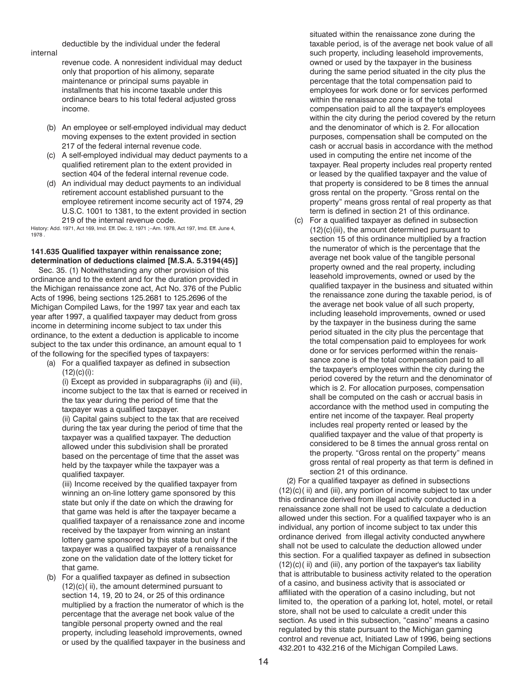<span id="page-13-0"></span>internal

deductible by the individual under the federal

revenue code. A nonresident individual may deduct only that proportion of his alimony, separate maintenance or principal sums payable in installments that his income taxable under this ordinance bears to his total federal adjusted gross income.

- (b) An employee or self-employed individual may deduct moving expenses to the extent provided in section 217 of the federal internal revenue code.
- (c) A self-employed individual may deduct payments to a qualified retirement plan to the extent provided in section 404 of the federal internal revenue code.
- (d) An individual may deduct payments to an individual retirement account established pursuant to the employee retirement income security act of 1974, 29 U.S.C. 1001 to 1381, to the extent provided in section 219 of the internal revenue code.

History: Add. 1971, Act 169, Imd. Eff. Dec. 2, 1971 ;--Am. 1978, Act 197, Imd. Eff. June 4, 1978 .

# **141.635 Qualified taxpayer within renaissance zone; determination of deductions claimed [M.S.A. 5.3194(45)]**

Sec. 35. (1) Notwithstanding any other provision of this ordinance and to the extent and for the duration provided in the Michigan renaissance zone act, Act No. 376 of the Public Acts of 1996, being sections 125.2681 to 125.2696 of the Michigan Compiled Laws, for the 1997 tax year and each tax year after 1997, a qualified taxpayer may deduct from gross income in determining income subject to tax under this ordinance, to the extent a deduction is applicable to income subject to the tax under this ordinance, an amount equal to 1 of the following for the specified types of taxpayers:

(a) For a qualified taxpayer as defined in subsection  $(12)(c)(i)$ :

(i) Except as provided in subparagraphs (ii) and (iii), income subject to the tax that is earned or received in the tax year during the period of time that the taxpayer was a qualified taxpayer.

(ii) Capital gains subject to the tax that are received during the tax year during the period of time that the taxpayer was a qualified taxpayer. The deduction allowed under this subdivision shall be prorated based on the percentage of time that the asset was held by the taxpayer while the taxpayer was a qualified taxpayer.

(iii) Income received by the qualified taxpayer from winning an on-line lottery game sponsored by this state but only if the date on which the drawing for that game was held is after the taxpayer became a qualified taxpayer of a renaissance zone and income received by the taxpayer from winning an instant lottery game sponsored by this state but only if the taxpayer was a qualified taxpayer of a renaissance zone on the validation date of the lottery ticket for that game.

(b) For a qualified taxpayer as defined in subsection (12)(c)( ii), the amount determined pursuant to section 14, 19, 20 to 24, or 25 of this ordinance multiplied by a fraction the numerator of which is the percentage that the average net book value of the tangible personal property owned and the real property, including leasehold improvements, owned or used by the qualified taxpayer in the business and situated within the renaissance zone during the taxable period, is of the average net book value of all such property, including leasehold improvements, owned or used by the taxpayer in the business during the same period situated in the city plus the percentage that the total compensation paid to employees for work done or for services performed within the renaissance zone is of the total compensation paid to all the taxpayer's employees within the city during the period covered by the return and the denominator of which is 2. For allocation purposes, compensation shall be computed on the cash or accrual basis in accordance with the method used in computing the entire net income of the taxpayer. Real property includes real property rented or leased by the qualified taxpayer and the value of that property is considered to be 8 times the annual gross rental on the property. "Gross rental on the property" means gross rental of real property as that term is defined in section 21 of this ordinance.

(c) For a qualified taxpayer as defined in subsection (12)(c)(iii), the amount determined pursuant to section 15 of this ordinance multiplied by a fraction the numerator of which is the percentage that the average net book value of the tangible personal property owned and the real property, including leasehold improvements, owned or used by the qualified taxpayer in the business and situated within the renaissance zone during the taxable period, is of the average net book value of all such property, including leasehold improvements, owned or used by the taxpayer in the business during the same period situated in the city plus the percentage that the total compensation paid to employees for work done or for services performed within the renaissance zone is of the total compensation paid to all the taxpayer's employees within the city during the period covered by the return and the denominator of which is 2. For allocation purposes, compensation shall be computed on the cash or accrual basis in accordance with the method used in computing the entire net income of the taxpayer. Real property includes real property rented or leased by the qualified taxpayer and the value of that property is considered to be 8 times the annual gross rental on the property. "Gross rental on the property" means gross rental of real property as that term is defined in section 21 of this ordinance.

(2) For a qualified taxpayer as defined in subsections (12)(c)( ii) and (iii), any portion of income subject to tax under this ordinance derived from illegal activity conducted in a renaissance zone shall not be used to calculate a deduction allowed under this section. For a qualified taxpayer who is an individual, any portion of income subject to tax under this ordinance derived from illegal activity conducted anywhere shall not be used to calculate the deduction allowed under this section. For a qualified taxpayer as defined in subsection (12)(c)( ii) and (iii), any portion of the taxpayer's tax liability that is attributable to business activity related to the operation of a casino, and business activity that is associated or affiliated with the operation of a casino including, but not limited to, the operation of a parking lot, hotel, motel, or retail store, shall not be used to calculate a credit under this section. As used in this subsection, "casino" means a casino regulated by this state pursuant to the Michigan gaming control and revenue act, Initiated Law of 1996, being sections 432.201 to 432.216 of the Michigan Compiled Laws.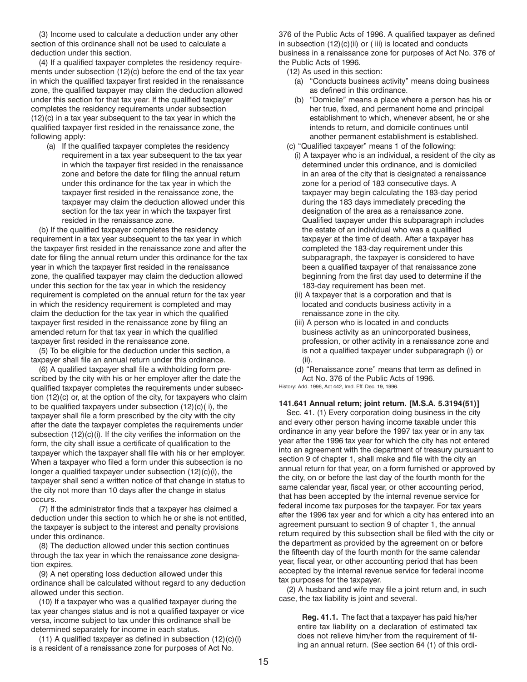<span id="page-14-0"></span>(3) Income used to calculate a deduction under any other section of this ordinance shall not be used to calculate a deduction under this section.

(4) If a qualified taxpayer completes the residency requirements under subsection (12)(c) before the end of the tax year in which the qualified taxpayer first resided in the renaissance zone, the qualified taxpayer may claim the deduction allowed under this section for that tax year. If the qualified taxpayer completes the residency requirements under subsection (12)(c) in a tax year subsequent to the tax year in which the qualified taxpayer first resided in the renaissance zone, the following apply:

(a) If the qualified taxpayer completes the residency requirement in a tax year subsequent to the tax year in which the taxpayer first resided in the renaissance zone and before the date for filing the annual return under this ordinance for the tax year in which the taxpayer first resided in the renaissance zone, the taxpayer may claim the deduction allowed under this section for the tax year in which the taxpayer first resided in the renaissance zone.

(b) If the qualified taxpayer completes the residency requirement in a tax year subsequent to the tax year in which the taxpayer first resided in the renaissance zone and after the date for filing the annual return under this ordinance for the tax year in which the taxpayer first resided in the renaissance zone, the qualified taxpayer may claim the deduction allowed under this section for the tax year in which the residency requirement is completed on the annual return for the tax year in which the residency requirement is completed and may claim the deduction for the tax year in which the qualified taxpayer first resided in the renaissance zone by filing an amended return for that tax year in which the qualified taxpayer first resided in the renaissance zone.

(5) To be eligible for the deduction under this section, a taxpayer shall file an annual return under this ordinance.

(6) A qualified taxpayer shall file a withholding form prescribed by the city with his or her employer after the date the qualified taxpayer completes the requirements under subsection (12)(c) or, at the option of the city, for taxpayers who claim to be qualified taxpayers under subsection (12)(c)( i), the taxpayer shall file a form prescribed by the city with the city after the date the taxpayer completes the requirements under subsection (12)(c)(i). If the city verifies the information on the form, the city shall issue a certificate of qualification to the taxpayer which the taxpayer shall file with his or her employer. When a taxpayer who filed a form under this subsection is no longer a qualified taxpayer under subsection (12)(c)(i), the taxpayer shall send a written notice of that change in status to the city not more than 10 days after the change in status occurs.

(7) If the administrator finds that a taxpayer has claimed a deduction under this section to which he or she is not entitled, the taxpayer is subject to the interest and penalty provisions under this ordinance.

(8) The deduction allowed under this section continues through the tax year in which the renaissance zone designation expires.

(9) A net operating loss deduction allowed under this ordinance shall be calculated without regard to any deduction allowed under this section.

(10) If a taxpayer who was a qualified taxpayer during the tax year changes status and is not a qualified taxpayer or vice versa, income subject to tax under this ordinance shall be determined separately for income in each status.

(11) A qualified taxpayer as defined in subsection (12)(c)(i) is a resident of a renaissance zone for purposes of Act No.

376 of the Public Acts of 1996. A qualified taxpayer as defined in subsection (12)(c)(ii) or ( iii) is located and conducts business in a renaissance zone for purposes of Act No. 376 of the Public Acts of 1996.

(12) As used in this section:

- (a) "Conducts business activity" means doing business as defined in this ordinance.
- (b) "Domicile" means a place where a person has his or her true, fixed, and permanent home and principal establishment to which, whenever absent, he or she intends to return, and domicile continues until another permanent establishment is established.
- (c) "Qualified taxpayer" means 1 of the following: (i) A taxpayer who is an individual, a resident of the city as determined under this ordinance, and is domiciled in an area of the city that is designated a renaissance zone for a period of 183 consecutive days. A taxpayer may begin calculating the 183-day period during the 183 days immediately preceding the designation of the area as a renaissance zone. Qualified taxpayer under this subparagraph includes the estate of an individual who was a qualified taxpayer at the time of death. After a taxpayer has completed the 183-day requirement under this subparagraph, the taxpayer is considered to have been a qualified taxpayer of that renaissance zone beginning from the first day used to determine if the 183-day requirement has been met.
	- (ii) A taxpayer that is a corporation and that is located and conducts business activity in a renaissance zone in the city.
	- (iii) A person who is located in and conducts business activity as an unincorporated business, profession, or other activity in a renaissance zone and is not a qualified taxpayer under subparagraph (i) or (ii).

(d) "Renaissance zone" means that term as defined in Act No. 376 of the Public Acts of 1996.

History: Add. 1996, Act 442, Imd. Eff. Dec. 19, 1996.

# **141.641 Annual return; joint return. [M.S.A. 5.3194(51)]**

Sec. 41. (1) Every corporation doing business in the city and every other person having income taxable under this ordinance in any year before the 1997 tax year or in any tax year after the 1996 tax year for which the city has not entered into an agreement with the department of treasury pursuant to section 9 of chapter 1, shall make and file with the city an annual return for that year, on a form furnished or approved by the city, on or before the last day of the fourth month for the same calendar year, fiscal year, or other accounting period, that has been accepted by the internal revenue service for federal income tax purposes for the taxpayer. For tax years after the 1996 tax year and for which a city has entered into an agreement pursuant to section 9 of chapter 1, the annual return required by this subsection shall be filed with the city or the department as provided by the agreement on or before the fifteenth day of the fourth month for the same calendar year, fiscal year, or other accounting period that has been accepted by the internal revenue service for federal income tax purposes for the taxpayer.

(2) A husband and wife may file a joint return and, in such case, the tax liability is joint and several.

**Reg. 41.1.** The fact that a taxpayer has paid his/her entire tax liability on a declaration of estimated tax does not relieve him/her from the requirement of filing an annual return. (See section 64 (1) of this ordi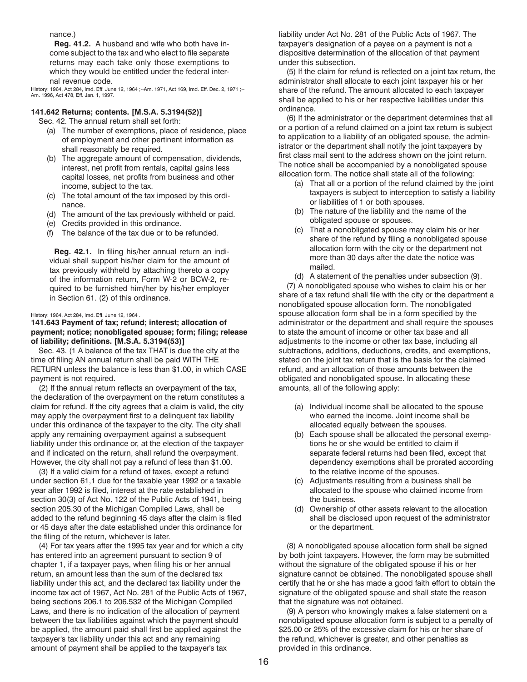<span id="page-15-0"></span>nance.)

**Reg. 41.2.** A husband and wife who both have income subject to the tax and who elect to file separate returns may each take only those exemptions to which they would be entitled under the federal internal revenue code.

History: 1964, Act 284, Imd. Eff. June 12, 1964 ;--Am. 1971, Act 169, Imd. Eff. Dec. 2, 1971 ;--Am. 1996, Act 478, Eff. Jan. 1, 1997.

# **141.642 Returns; contents. [M.S.A. 5.3194(52)]**

Sec. 42. The annual return shall set forth:

- (a) The number of exemptions, place of residence, place of employment and other pertinent information as shall reasonably be required.
- (b) The aggregate amount of compensation, dividends, interest, net profit from rentals, capital gains less capital losses, net profits from business and other income, subject to the tax.
- (c) The total amount of the tax imposed by this ordinance.
- (d) The amount of the tax previously withheld or paid.
- (e) Credits provided in this ordinance.
- (f) The balance of the tax due or to be refunded.

**Reg. 42.1.** In filing his/her annual return an individual shall support his/her claim for the amount of tax previously withheld by attaching thereto a copy of the information return, Form W-2 or BCW-2, required to be furnished him/her by his/her employer in Section 61. (2) of this ordinance.

#### History: 1964, Act 284, Imd. Eff. June 12, 1964 .

## **141.643 Payment of tax; refund; interest; allocation of payment; notice; nonobligated spouse; form; filing; release of liability; definitions. [M.S.A. 5.3194(53)]**

Sec. 43. (1 A balance of the tax THAT is due the city at the time of filing AN annual return shall be paid WITH THE RETURN unless the balance is less than \$1.00, in which CASE payment is not required.

(2) If the annual return reflects an overpayment of the tax, the declaration of the overpayment on the return constitutes a claim for refund. If the city agrees that a claim is valid, the city may apply the overpayment first to a delinquent tax liability under this ordinance of the taxpayer to the city. The city shall apply any remaining overpayment against a subsequent liability under this ordinance or, at the election of the taxpayer and if indicated on the return, shall refund the overpayment. However, the city shall not pay a refund of less than \$1.00.

(3) If a valid claim for a refund of taxes, except a refund under section 61,1 due for the taxable year 1992 or a taxable year after 1992 is filed, interest at the rate established in section 30(3) of Act No. 122 of the Public Acts of 1941, being section 205.30 of the Michigan Compiled Laws, shall be added to the refund beginning 45 days after the claim is filed or 45 days after the date established under this ordinance for the filing of the return, whichever is later.

(4) For tax years after the 1995 tax year and for which a city has entered into an agreement pursuant to section 9 of chapter 1, if a taxpayer pays, when filing his or her annual return, an amount less than the sum of the declared tax liability under this act, and the declared tax liability under the income tax act of 1967, Act No. 281 of the Public Acts of 1967, being sections 206.1 to 206.532 of the Michigan Compiled Laws, and there is no indication of the allocation of payment between the tax liabilities against which the payment should be applied, the amount paid shall first be applied against the taxpayer's tax liability under this act and any remaining amount of payment shall be applied to the taxpayer's tax

liability under Act No. 281 of the Public Acts of 1967. The taxpayer's designation of a payee on a payment is not a dispositive determination of the allocation of that payment under this subsection.

(5) If the claim for refund is reflected on a joint tax return, the administrator shall allocate to each joint taxpayer his or her share of the refund. The amount allocated to each taxpayer shall be applied to his or her respective liabilities under this ordinance.

(6) If the administrator or the department determines that all or a portion of a refund claimed on a joint tax return is subject to application to a liability of an obligated spouse, the administrator or the department shall notify the joint taxpayers by first class mail sent to the address shown on the joint return. The notice shall be accompanied by a nonobligated spouse allocation form. The notice shall state all of the following:

- (a) That all or a portion of the refund claimed by the joint taxpayers is subject to interception to satisfy a liability or liabilities of 1 or both spouses.
- (b) The nature of the liability and the name of the obligated spouse or spouses.
- (c) That a nonobligated spouse may claim his or her share of the refund by filing a nonobligated spouse allocation form with the city or the department not more than 30 days after the date the notice was mailed.
- (d) A statement of the penalties under subsection (9).

(7) A nonobligated spouse who wishes to claim his or her share of a tax refund shall file with the city or the department a nonobligated spouse allocation form. The nonobligated spouse allocation form shall be in a form specified by the administrator or the department and shall require the spouses to state the amount of income or other tax base and all adjustments to the income or other tax base, including all subtractions, additions, deductions, credits, and exemptions, stated on the joint tax return that is the basis for the claimed refund, and an allocation of those amounts between the obligated and nonobligated spouse. In allocating these amounts, all of the following apply:

- (a) Individual income shall be allocated to the spouse who earned the income. Joint income shall be allocated equally between the spouses.
- (b) Each spouse shall be allocated the personal exemptions he or she would be entitled to claim if separate federal returns had been filed, except that dependency exemptions shall be prorated according to the relative income of the spouses.
- (c) Adjustments resulting from a business shall be allocated to the spouse who claimed income from the business.
- (d) Ownership of other assets relevant to the allocation shall be disclosed upon request of the administrator or the department.

(8) A nonobligated spouse allocation form shall be signed by both joint taxpayers. However, the form may be submitted without the signature of the obligated spouse if his or her signature cannot be obtained. The nonobligated spouse shall certify that he or she has made a good faith effort to obtain the signature of the obligated spouse and shall state the reason that the signature was not obtained.

(9) A person who knowingly makes a false statement on a nonobligated spouse allocation form is subject to a penalty of \$25.00 or 25% of the excessive claim for his or her share of the refund, whichever is greater, and other penalties as provided in this ordinance.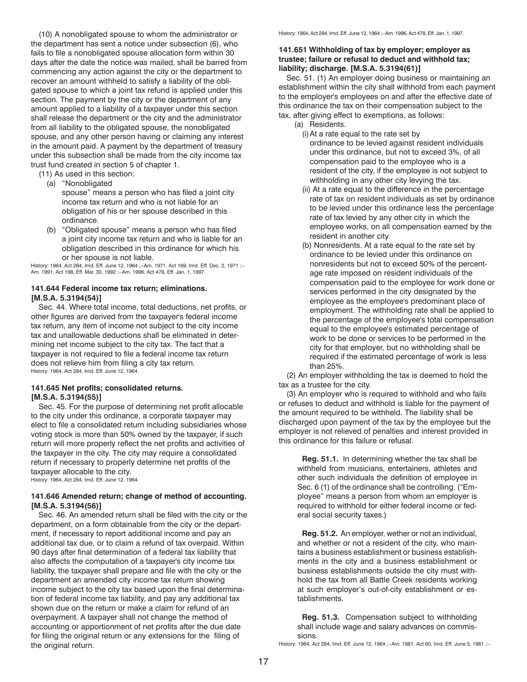<span id="page-16-0"></span>(10) A nonobligated spouse to whom the administrator or the department has sent a notice under subsection (6), who fails to file a nonobligated spouse allocation form within 30 days after the date the notice was mailed, shall be barred from commencing any action against the city or the department to recover an amount withheld to satisfy a liability of the obligated spouse to which a joint tax refund is applied under this section. The payment by the city or the department of any amount applied to a liability of a taxpayer under this section shall release the department or the city and the administrator from all liability to the obligated spouse, the nonobligated spouse, and any other person having or claiming any interest in the amount paid. A payment by the department of treasury under this subsection shall be made from the city income tax trust fund created in section 5 of chapter 1.

(11) As used in this section:

(a) "Nonobligated

spouse" means a person who has filed a joint city income tax return and who is not liable for an obligation of his or her spouse described in this ordinance.

(b) "Obligated spouse" means a person who has filed a joint city income tax return and who is liable for an obligation described in this ordinance for which his or her spouse is not liable.

History: 1964, Act 284, Imd. Eff. June 12, 1964 ;--Am. 1971, Act 169, Imd. Eff. Dec. 2, 1971 ;-- Am. 1991, Act 198, Eff. Mar. 30, 1992 ;--Am. 1996, Act 478, Eff. Jan. 1, 1997.

# **141.644 Federal income tax return; eliminations. [M.S.A. 5.3194(54)]**

Sec. 44. Where total income, total deductions, net profits, or other figures are derived from the taxpayer's federal income tax return, any item of income not subject to the city income tax and unallowable deductions shall be eliminated in determining net income subject to the city tax. The fact that a taxpayer is not required to file a federal income tax return does not relieve him from filing a city tax return. History: 1964, Act 284, Imd. Eff. June 12, 1964.

#### **141.645 Net profits; consolidated returns. [M.S.A. 5.3194(55)]**

Sec. 45. For the purpose of determining net profit allocable to the city under this ordinance, a corporate taxpayer may elect to file a consolidated return including subsidiaries whose voting stock is more than 50% owned by the taxpayer, if such return will more properly reflect the net profits and activities of the taxpayer in the city. The city may require a consolidated return if necessary to properly determine net profits of the taxpayer allocable to the city. History: 1964, Act 284, Imd. Eff. June 12, 1964.

**141.646 Amended return; change of method of accounting. [M.S.A. 5.3194(56)]**

Sec. 46. An amended return shall be filed with the city or the department, on a form obtainable from the city or the department, if necessary to report additional income and pay an additional tax due, or to claim a refund of tax overpaid. Within 90 days after final determination of a federal tax liability that also affects the computation of a taxpayer's city income tax liability, the taxpayer shall prepare and file with the city or the department an amended city income tax return showing income subject to the city tax based upon the final determination of federal income tax liability, and pay any additional tax shown due on the return or make a claim for refund of an overpayment. A taxpayer shall not change the method of accounting or apportionment of net profits after the due date for filing the original return or any extensions for the filing of the original return.

History: 1964, Act 284, Imd. Eff. June 12, 1964 ;--Am. 1996, Act 478, Eff. Jan. 1, 1997.

# **141.651 Withholding of tax by employer; employer as trustee; failure or refusal to deduct and withhold tax; liability; discharge. [M.S.A. 5.3194(61)]**

Sec. 51. (1) An employer doing business or maintaining an establishment within the city shall withhold from each payment to the employer's employees on and after the effective date of this ordinance the tax on their compensation subject to the tax, after giving effect to exemptions, as follows:

- (a) Residents.
	- (i)At a rate equal to the rate set by ordinance to be levied against resident individuals under this ordinance, but not to exceed 3%, of all compensation paid to the employee who is a resident of the city, if the employee is not subject to withholding in any other city levying the tax.
	- (ii) At a rate equal to the difference in the percentage rate of tax on resident individuals as set by ordinance to be levied under this ordinance less the percentage rate of tax levied by any other city in which the employee works, on all compensation earned by the resident in another city.
	- (b) Nonresidents. At a rate equal to the rate set by ordinance to be levied under this ordinance on nonresidents but not to exceed 50% of the percentage rate imposed on resident individuals of the compensation paid to the employee for work done or services performed in the city designated by the employee as the employee's predominant place of employment. The withholding rate shall be applied to the percentage of the employee's total compensation equal to the employee's estimated percentage of work to be done or services to be performed in the city for that employer, but no withholding shall be required if the estimated percentage of work is less than 25%.

(2) An employer withholding the tax is deemed to hold the tax as a trustee for the city.

(3) An employer who is required to withhold and who fails or refuses to deduct and withhold is liable for the payment of the amount required to be withheld. The liability shall be discharged upon payment of the tax by the employee but the employer is not relieved of penalties and interest provided in this ordinance for this failure or refusal.

**Reg. 51.1.** In determining whether the tax shall be withheld from musicians, entertainers, athletes and other such individuals the definition of employee in Sec. 6 (1) of the ordinance shall be controlling. ("Employee" means a person from whom an employer is required to withhold for either federal income or federal social security taxes.)

**Reg. 51.2.** An employer, wether or not an individual, and whether or not a resident of the city, who maintains a business establishment or business establishments in the city and a business establishment or business establishments outside the city must withhold the tax from all Battle Creek residents working at such employer's out-of-city establishment or establishments.

**Reg. 51.3.** Compensation subject to withholding shall include wage and salary advances on commissions.

History: 1964, Act 284, Imd. Eff. June 12, 1964 ;--Am. 1981, Act 60, Imd. Eff. June 5, 1981 ;--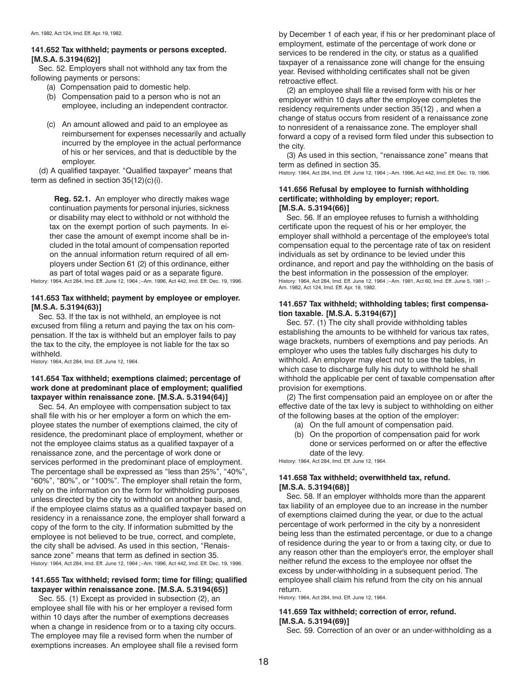# <span id="page-17-0"></span>**141.652 Tax withheld; payments or persons excepted. [M.S.A. 5.3194(62)]**

Sec. 52. Employers shall not withhold any tax from the following payments or persons:

- (a) Compensation paid to domestic help.
- (b) Compensation paid to a person who is not an employee, including an independent contractor.
- (c) An amount allowed and paid to an employee as reimbursement for expenses necessarily and actually incurred by the employee in the actual performance of his or her services, and that is deductible by the employer.

(d) A qualified taxpayer. "Qualified taxpayer" means that term as defined in section 35(12)(c)(i).

**Reg. 52.1.** An employer who directly makes wage continuation payments for personal injuries, sickness or disability may elect to withhold or not withhold the tax on the exempt portion of such payments. In either case the amount of exempt income shall be included in the total amount of compensation reported on the annual information return required of all employers under Section 61 (2) of this ordinance, either as part of total wages paid or as a separate figure.

History: 1964, Act 284, Imd. Eff. June 12, 1964 ;--Am. 1996, Act 442, Imd. Eff. Dec. 19, 1996.

# **141.653 Tax withheld; payment by employee or employer. [M.S.A. 5.3194(63)]**

Sec. 53. If the tax is not withheld, an employee is not excused from filing a return and paying the tax on his compensation. If the tax is withheld but an employer fails to pay the tax to the city, the employee is not liable for the tax so withheld.

History: 1964, Act 284, Imd. Eff. June 12, 1964.

# **141.654 Tax withheld; exemptions claimed; percentage of work done at predominant place of employment; qualified taxpayer within renaissance zone. [M.S.A. 5.3194(64)]**

Sec. 54. An employee with compensation subject to tax shall file with his or her employer a form on which the employee states the number of exemptions claimed, the city of residence, the predominant place of employment, whether or not the employee claims status as a qualified taxpayer of a renaissance zone, and the percentage of work done or services performed in the predominant place of employment. The percentage shall be expressed as "less than 25%", "40%", "60%", "80%", or "100%". The employer shall retain the form, rely on the information on the form for withholding purposes unless directed by the city to withhold on another basis, and, if the employee claims status as a qualified taxpayer based on residency in a renaissance zone, the employer shall forward a copy of the form to the city. If information submitted by the employee is not believed to be true, correct, and complete, the city shall be advised. As used in this section, "Renaissance zone" means that term as defined in section 35. History: 1964, Act 284, Imd. Eff. June 12, 1964 ;--Am. 1996, Act 442, Imd. Eff. Dec. 19, 1996.

# **141.655 Tax withheld; revised form; time for filing; qualified taxpayer within renaissance zone. [M.S.A. 5.3194(65)]**

Sec. 55. (1) Except as provided in subsection (2), an employee shall file with his or her employer a revised form within 10 days after the number of exemptions decreases when a change in residence from or to a taxing city occurs. The employee may file a revised form when the number of exemptions increases. An employee shall file a revised form by December 1 of each year, if his or her predominant place of employment, estimate of the percentage of work done or services to be rendered in the city, or status as a qualified taxpayer of a renaissance zone will change for the ensuing year. Revised withholding certificates shall not be given retroactive effect.

(2) an employee shall file a revised form with his or her employer within 10 days after the employee completes the residency requirements under section 35(12) , and when a change of status occurs from resident of a renaissance zone to nonresident of a renaissance zone. The employer shall forward a copy of a revised form filed under this subsection to the city.

(3) As used in this section, "renaissance zone" means that term as defined in section 35.

History: 1964, Act 284, Imd. Eff. June 12, 1964 ;--Am. 1996, Act 442, Imd. Eff. Dec. 19, 1996.

# **141.656 Refusal by employee to furnish withholding certificate; withholding by employer; report. [M.S.A. 5.3194(66)]**

Sec. 56. If an employee refuses to furnish a withholding certificate upon the request of his or her employer, the employer shall withhold a percentage of the employee's total compensation equal to the percentage rate of tax on resident individuals as set by ordinance to be levied under this ordinance, and report and pay the withholding on the basis of the best information in the possession of the employer. History: 1964, Act 284, Imd. Eff. June 12, 1964 ;--Am. 1981, Act 60, Imd. Eff. June 5, 1981 ;-- Am. 1982, Act 124, Imd. Eff. Apr. 19, 1982.

# **141.657 Tax withheld; withholding tables; first compensation taxable. [M.S.A. 5.3194(67)]**

Sec. 57. (1) The city shall provide withholding tables establishing the amounts to be withheld for various tax rates, wage brackets, numbers of exemptions and pay periods. An employer who uses the tables fully discharges his duty to withhold. An employer may elect not to use the tables, in which case to discharge fully his duty to withhold he shall withhold the applicable per cent of taxable compensation after provision for exemptions.

(2) The first compensation paid an employee on or after the effective date of the tax levy is subject to withholding on either of the following bases at the option of the employer:

- (a) On the full amount of compensation paid.
- (b) On the proportion of compensation paid for work done or services performed on or after the effective date of the levy.

History: 1964, Act 284, Imd. Eff. June 12, 1964.

# **141.658 Tax withheld; overwithheld tax, refund. [M.S.A. 5.3194(68)]**

Sec. 58. If an employer withholds more than the apparent tax liability of an employee due to an increase in the number of exemptions claimed during the year, or due to the actual percentage of work performed in the city by a nonresident being less than the estimated percentage, or due to a change of residence during the year to or from a taxing city, or due to any reason other than the employer's error, the employer shall neither refund the excess to the employee nor offset the excess by under-withholding in a subsequent period. The employee shall claim his refund from the city on his annual return.

History: 1964, Act 284, Imd. Eff. June 12, 1964.

# **141.659 Tax withheld; correction of error, refund. [M.S.A. 5.3194(69)]**

Sec. 59. Correction of an over or an under-withholding as a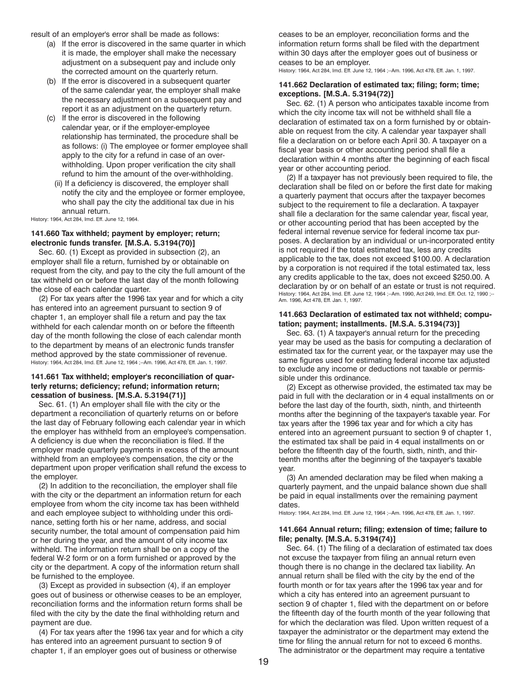<span id="page-18-0"></span>result of an employer's error shall be made as follows:

- (a) If the error is discovered in the same quarter in which it is made, the employer shall make the necessary adjustment on a subsequent pay and include only the corrected amount on the quarterly return.
- (b) If the error is discovered in a subsequent quarter of the same calendar year, the employer shall make the necessary adjustment on a subsequent pay and report it as an adjustment on the quarterly return.
- (c) If the error is discovered in the following calendar year, or if the employer-employee relationship has terminated, the procedure shall be as follows: (i) The employee or former employee shall apply to the city for a refund in case of an overwithholding. Upon proper verification the city shall refund to him the amount of the over-withholding.
	- (ii) If a deficiency is discovered, the employer shall notify the city and the employee or former employee, who shall pay the city the additional tax due in his annual return.

History: 1964, Act 284, Imd. Eff. June 12, 1964.

#### **141.660 Tax withheld; payment by employer; return; electronic funds transfer. [M.S.A. 5.3194(70)]**

Sec. 60. (1) Except as provided in subsection (2), an employer shall file a return, furnished by or obtainable on request from the city, and pay to the city the full amount of the tax withheld on or before the last day of the month following the close of each calendar quarter.

(2) For tax years after the 1996 tax year and for which a city has entered into an agreement pursuant to section 9 of chapter 1, an employer shall file a return and pay the tax withheld for each calendar month on or before the fifteenth day of the month following the close of each calendar month to the department by means of an electronic funds transfer method approved by the state commissioner of revenue. History: 1964, Act 284, Imd. Eff. June 12, 1964 ;--Am. 1996, Act 478, Eff. Jan. 1, 1997.

#### **141.661 Tax withheld; employer's reconciliation of quarterly returns; deficiency; refund; information return; cessation of business. [M.S.A. 5.3194(71)]**

Sec. 61. (1) An employer shall file with the city or the department a reconciliation of quarterly returns on or before the last day of February following each calendar year in which the employer has withheld from an employee's compensation. A deficiency is due when the reconciliation is filed. If the employer made quarterly payments in excess of the amount withheld from an employee's compensation, the city or the department upon proper verification shall refund the excess to the employer.

(2) In addition to the reconciliation, the employer shall file with the city or the department an information return for each employee from whom the city income tax has been withheld and each employee subject to withholding under this ordinance, setting forth his or her name, address, and social security number, the total amount of compensation paid him or her during the year, and the amount of city income tax withheld. The information return shall be on a copy of the federal W-2 form or on a form furnished or approved by the city or the department. A copy of the information return shall be furnished to the employee.

(3) Except as provided in subsection (4), if an employer goes out of business or otherwise ceases to be an employer, reconciliation forms and the information return forms shall be filed with the city by the date the final withholding return and payment are due.

(4) For tax years after the 1996 tax year and for which a city has entered into an agreement pursuant to section 9 of chapter 1, if an employer goes out of business or otherwise

ceases to be an employer, reconciliation forms and the information return forms shall be filed with the department within 30 days after the employer goes out of business or ceases to be an employer.

History: 1964, Act 284, Imd. Eff. June 12, 1964 ;--Am. 1996, Act 478, Eff. Jan. 1, 1997.

#### **141.662 Declaration of estimated tax; filing; form; time; exceptions. [M.S.A. 5.3194(72)]**

Sec. 62. (1) A person who anticipates taxable income from which the city income tax will not be withheld shall file a declaration of estimated tax on a form furnished by or obtainable on request from the city. A calendar year taxpayer shall file a declaration on or before each April 30. A taxpayer on a fiscal year basis or other accounting period shall file a declaration within 4 months after the beginning of each fiscal year or other accounting period.

(2) If a taxpayer has not previously been required to file, the declaration shall be filed on or before the first date for making a quarterly payment that occurs after the taxpayer becomes subject to the requirement to file a declaration. A taxpayer shall file a declaration for the same calendar year, fiscal year, or other accounting period that has been accepted by the federal internal revenue service for federal income tax purposes. A declaration by an individual or un-incorporated entity is not required if the total estimated tax, less any credits applicable to the tax, does not exceed \$100.00. A declaration by a corporation is not required if the total estimated tax, less any credits applicable to the tax, does not exceed \$250.00. A declaration by or on behalf of an estate or trust is not required. History: 1964, Act 284, Imd. Eff. June 12, 1964 ;--Am. 1990, Act 249, Imd. Eff. Oct. 12, 1990 ;--Am. 1996, Act 478, Eff. Jan. 1, 1997.

#### **141.663 Declaration of estimated tax not withheld; computation; payment; installments. [M.S.A. 5.3194(73)]**

Sec. 63. (1) A taxpayer's annual return for the preceding year may be used as the basis for computing a declaration of estimated tax for the current year, or the taxpayer may use the same figures used for estimating federal income tax adjusted to exclude any income or deductions not taxable or permissible under this ordinance.

(2) Except as otherwise provided, the estimated tax may be paid in full with the declaration or in 4 equal installments on or before the last day of the fourth, sixth, ninth, and thirteenth months after the beginning of the taxpayer's taxable year. For tax years after the 1996 tax year and for which a city has entered into an agreement pursuant to section 9 of chapter 1, the estimated tax shall be paid in 4 equal installments on or before the fifteenth day of the fourth, sixth, ninth, and thirteenth months after the beginning of the taxpayer's taxable year.

(3) An amended declaration may be filed when making a quarterly payment, and the unpaid balance shown due shall be paid in equal installments over the remaining payment dates.

History: 1964, Act 284, Imd. Eff. June 12, 1964 ;--Am. 1996, Act 478, Eff. Jan. 1, 1997.

#### **141.664 Annual return; filing; extension of time; failure to file; penalty. [M.S.A. 5.3194(74)]**

Sec. 64. (1) The filing of a declaration of estimated tax does not excuse the taxpayer from filing an annual return even though there is no change in the declared tax liability. An annual return shall be filed with the city by the end of the fourth month or for tax years after the 1996 tax year and for which a city has entered into an agreement pursuant to section 9 of chapter 1, filed with the department on or before the fifteenth day of the fourth month of the year following that for which the declaration was filed. Upon written request of a taxpayer the administrator or the department may extend the time for filing the annual return for not to exceed 6 months. The administrator or the department may require a tentative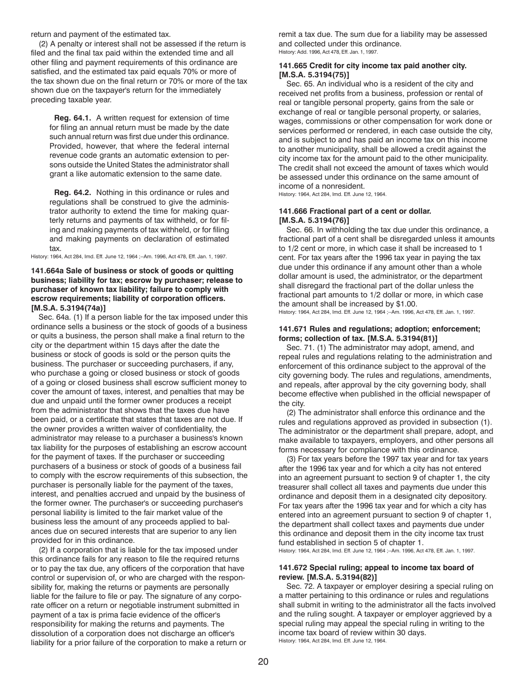<span id="page-19-0"></span>return and payment of the estimated tax.

(2) A penalty or interest shall not be assessed if the return is filed and the final tax paid within the extended time and all other filing and payment requirements of this ordinance are satisfied, and the estimated tax paid equals 70% or more of the tax shown due on the final return or 70% or more of the tax shown due on the taxpayer's return for the immediately preceding taxable year.

**Reg. 64.1.** A written request for extension of time for filing an annual return must be made by the date such annual return was first due under this ordinance. Provided, however, that where the federal internal revenue code grants an automatic extension to persons outside the United States the administrator shall grant a like automatic extension to the same date.

**Reg. 64.2.** Nothing in this ordinance or rules and regulations shall be construed to give the administrator authority to extend the time for making quarterly returns and payments of tax withheld, or for filing and making payments of tax withheld, or for filing and making payments on declaration of estimated tax.

History: 1964, Act 284, Imd. Eff. June 12, 1964 ;--Am. 1996, Act 478, Eff. Jan. 1, 1997.

# **141.664a Sale of business or stock of goods or quitting business; liability for tax; escrow by purchaser; release to purchaser of known tax liability; failure to comply with escrow requirements; liability of corporation officers. [M.S.A. 5.3194(74a)]**

Sec. 64a. (1) If a person liable for the tax imposed under this ordinance sells a business or the stock of goods of a business or quits a business, the person shall make a final return to the city or the department within 15 days after the date the business or stock of goods is sold or the person quits the business. The purchaser or succeeding purchasers, if any, who purchase a going or closed business or stock of goods of a going or closed business shall escrow sufficient money to cover the amount of taxes, interest, and penalties that may be due and unpaid until the former owner produces a receipt from the administrator that shows that the taxes due have been paid, or a certificate that states that taxes are not due. If the owner provides a written waiver of confidentiality, the administrator may release to a purchaser a business's known tax liability for the purposes of establishing an escrow account for the payment of taxes. If the purchaser or succeeding purchasers of a business or stock of goods of a business fail to comply with the escrow requirements of this subsection, the purchaser is personally liable for the payment of the taxes, interest, and penalties accrued and unpaid by the business of the former owner. The purchaser's or succeeding purchaser's personal liability is limited to the fair market value of the business less the amount of any proceeds applied to balances due on secured interests that are superior to any lien provided for in this ordinance.

(2) If a corporation that is liable for the tax imposed under this ordinance fails for any reason to file the required returns or to pay the tax due, any officers of the corporation that have control or supervision of, or who are charged with the responsibility for, making the returns or payments are personally liable for the failure to file or pay. The signature of any corporate officer on a return or negotiable instrument submitted in payment of a tax is prima facie evidence of the officer's responsibility for making the returns and payments. The dissolution of a corporation does not discharge an officer's liability for a prior failure of the corporation to make a return or remit a tax due. The sum due for a liability may be assessed and collected under this ordinance. History: Add. 1996, Act 478, Eff. Jan. 1, 1997.

#### **141.665 Credit for city income tax paid another city. [M.S.A. 5.3194(75)]**

Sec. 65. An individual who is a resident of the city and received net profits from a business, profession or rental of real or tangible personal property, gains from the sale or exchange of real or tangible personal property, or salaries, wages, commissions or other compensation for work done or services performed or rendered, in each case outside the city, and is subject to and has paid an income tax on this income to another municipality, shall be allowed a credit against the city income tax for the amount paid to the other municipality. The credit shall not exceed the amount of taxes which would be assessed under this ordinance on the same amount of income of a nonresident.

History: 1964, Act 284, Imd. Eff. June 12, 1964.

## **141.666 Fractional part of a cent or dollar. [M.S.A. 5.3194(76)]**

Sec. 66. In withholding the tax due under this ordinance, a fractional part of a cent shall be disregarded unless it amounts to 1/2 cent or more, in which case it shall be increased to 1 cent. For tax years after the 1996 tax year in paying the tax due under this ordinance if any amount other than a whole dollar amount is used, the administrator, or the department shall disregard the fractional part of the dollar unless the fractional part amounts to 1/2 dollar or more, in which case the amount shall be increased by \$1.00. History: 1964, Act 284, Imd. Eff. June 12, 1964 ;--Am. 1996, Act 478, Eff. Jan. 1, 1997.

#### **141.671 Rules and regulations; adoption; enforcement; forms; collection of tax. [M.S.A. 5.3194(81)]**

Sec. 71. (1) The administrator may adopt, amend, and repeal rules and regulations relating to the administration and enforcement of this ordinance subject to the approval of the city governing body. The rules and regulations, amendments, and repeals, after approval by the city governing body, shall become effective when published in the official newspaper of the city.

(2) The administrator shall enforce this ordinance and the rules and regulations approved as provided in subsection (1). The administrator or the department shall prepare, adopt, and make available to taxpayers, employers, and other persons all forms necessary for compliance with this ordinance.

(3) For tax years before the 1997 tax year and for tax years after the 1996 tax year and for which a city has not entered into an agreement pursuant to section 9 of chapter 1, the city treasurer shall collect all taxes and payments due under this ordinance and deposit them in a designated city depository. For tax years after the 1996 tax year and for which a city has entered into an agreement pursuant to section 9 of chapter 1, the department shall collect taxes and payments due under this ordinance and deposit them in the city income tax trust fund established in section 5 of chapter 1.

History: 1964, Act 284, Imd. Eff. June 12, 1964 ;--Am. 1996, Act 478, Eff. Jan. 1, 1997.

#### **141.672 Special ruling; appeal to income tax board of review. [M.S.A. 5.3194(82)]**

Sec. 72. A taxpayer or employer desiring a special ruling on a matter pertaining to this ordinance or rules and regulations shall submit in writing to the administrator all the facts involved and the ruling sought. A taxpayer or employer aggrieved by a special ruling may appeal the special ruling in writing to the income tax board of review within 30 days. History: 1964, Act 284, Imd. Eff. June 12, 1964.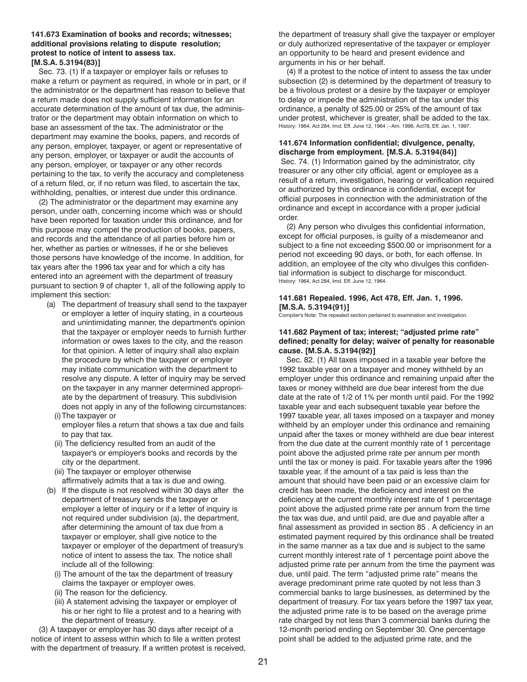#### <span id="page-20-0"></span>**141.673 Examination of books and records; witnesses; additional provisions relating to dispute resolution; protest to notice of intent to assess tax. [M.S.A. 5.3194(83)]**

Sec. 73. (1) If a taxpayer or employer fails or refuses to make a return or payment as required, in whole or in part, or if the administrator or the department has reason to believe that a return made does not supply sufficient information for an accurate determination of the amount of tax due, the administrator or the department may obtain information on which to base an assessment of the tax. The administrator or the department may examine the books, papers, and records of any person, employer, taxpayer, or agent or representative of any person, employer, or taxpayer or audit the accounts of any person, employer, or taxpayer or any other records pertaining to the tax, to verify the accuracy and completeness of a return filed, or, if no return was filed, to ascertain the tax, withholding, penalties, or interest due under this ordinance.

(2) The administrator or the department may examine any person, under oath, concerning income which was or should have been reported for taxation under this ordinance, and for this purpose may compel the production of books, papers, and records and the attendance of all parties before him or her, whether as parties or witnesses, if he or she believes those persons have knowledge of the income. In addition, for tax years after the 1996 tax year and for which a city has entered into an agreement with the department of treasury pursuant to section 9 of chapter 1, all of the following apply to implement this section:

(a) The department of treasury shall send to the taxpayer or employer a letter of inquiry stating, in a courteous and unintimidating manner, the department's opinion that the taxpayer or employer needs to furnish further information or owes taxes to the city, and the reason for that opinion. A letter of inquiry shall also explain the procedure by which the taxpayer or employer may initiate communication with the department to resolve any dispute. A letter of inquiry may be served on the taxpayer in any manner determined appropriate by the department of treasury. This subdivision does not apply in any of the following circumstances: (i)The taxpayer or

employer files a return that shows a tax due and fails to pay that tax.

- (ii) The deficiency resulted from an audit of the taxpayer's or employer's books and records by the city or the department.
- (iii) The taxpayer or employer otherwise affirmatively admits that a tax is due and owing.
- (b) If the dispute is not resolved within 30 days after the department of treasury sends the taxpayer or employer a letter of inquiry or if a letter of inquiry is not required under subdivision (a), the department, after determining the amount of tax due from a taxpayer or employer, shall give notice to the taxpayer or employer of the department of treasury's notice of intent to assess the tax. The notice shall include all of the following:
	- (i) The amount of the tax the department of treasury claims the taxpayer or employer owes.
	- (ii) The reason for the deficiency.
	- (iii) A statement advising the taxpayer or employer of his or her right to file a protest and to a hearing with the department of treasury.

(3) A taxpayer or employer has 30 days after receipt of a notice of intent to assess within which to file a written protest with the department of treasury. If a written protest is received, the department of treasury shall give the taxpayer or employer or duly authorized representative of the taxpayer or employer an opportunity to be heard and present evidence and arguments in his or her behalf.

(4) If a protest to the notice of intent to assess the tax under subsection (2) is determined by the department of treasury to be a frivolous protest or a desire by the taxpayer or employer to delay or impede the administration of the tax under this ordinance, a penalty of \$25.00 or 25% of the amount of tax under protest, whichever is greater, shall be added to the tax. History: 1964, Act 284, Imd. Eff. June 12, 1964 ;--Am. 1996, Act78, Eff. Jan. 1, 1997.

# **141.674 Information confidential; divulgence, penalty, discharge from employment. [M.S.A. 5.3194(84)]**

 Sec. 74. (1) Information gained by the administrator, city treasurer or any other city official, agent or employee as a result of a return, investigation, hearing or verification required or authorized by this ordinance is confidential, except for official purposes in connection with the administration of the ordinance and except in accordance with a proper judicial order.

(2) Any person who divulges this confidential information, except for official purposes, is guilty of a misdemeanor and subject to a fine not exceeding \$500.00 or imprisonment for a period not exceeding 90 days, or both, for each offense. In addition, an employee of the city who divulges this confidential information is subject to discharge for misconduct. History: 1964, Act 284, Imd. Eff. June 12, 1964.

# **141.681 Repealed. 1996, Act 478, Eff. Jan. 1, 1996. [M.S.A. 5.3194(91)]**

Compiler's Note: The repealed section pertained to examination and investigation.

# **141.682 Payment of tax; interest; "adjusted prime rate" defined; penalty for delay; waiver of penalty for reasonable cause. [M.S.A. 5.3194(92)]**

Sec. 82. (1) All taxes imposed in a taxable year before the 1992 taxable year on a taxpayer and money withheld by an employer under this ordinance and remaining unpaid after the taxes or money withheld are due bear interest from the due date at the rate of 1/2 of 1% per month until paid. For the 1992 taxable year and each subsequent taxable year before the 1997 taxable year, all taxes imposed on a taxpayer and money withheld by an employer under this ordinance and remaining unpaid after the taxes or money withheld are due bear interest from the due date at the current monthly rate of 1 percentage point above the adjusted prime rate per annum per month until the tax or money is paid. For taxable years after the 1996 taxable year, if the amount of a tax paid is less than the amount that should have been paid or an excessive claim for credit has been made, the deficiency and interest on the deficiency at the current monthly interest rate of 1 percentage point above the adjusted prime rate per annum from the time the tax was due, and until paid, are due and payable after a final assessment as provided in section 85 . A deficiency in an estimated payment required by this ordinance shall be treated in the same manner as a tax due and is subject to the same current monthly interest rate of 1 percentage point above the adjusted prime rate per annum from the time the payment was due, until paid. The term "adjusted prime rate" means the average predominant prime rate quoted by not less than 3 commercial banks to large businesses, as determined by the department of treasury. For tax years before the 1997 tax year, the adjusted prime rate is to be based on the average prime rate charged by not less than 3 commercial banks during the 12-month period ending on September 30. One percentage point shall be added to the adjusted prime rate, and the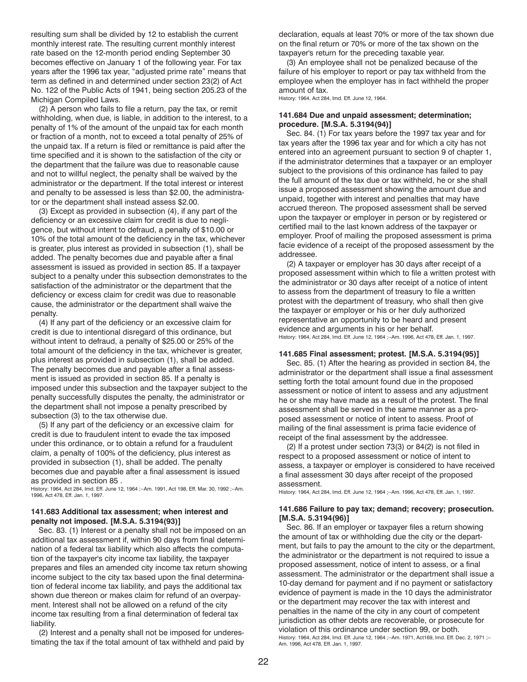<span id="page-21-0"></span>resulting sum shall be divided by 12 to establish the current monthly interest rate. The resulting current monthly interest rate based on the 12-month period ending September 30 becomes effective on January 1 of the following year. For tax years after the 1996 tax year, "adjusted prime rate" means that term as defined in and determined under section 23(2) of Act No. 122 of the Public Acts of 1941, being section 205.23 of the Michigan Compiled Laws.

(2) A person who fails to file a return, pay the tax, or remit withholding, when due, is liable, in addition to the interest, to a penalty of 1% of the amount of the unpaid tax for each month or fraction of a month, not to exceed a total penalty of 25% of the unpaid tax. If a return is filed or remittance is paid after the time specified and it is shown to the satisfaction of the city or the department that the failure was due to reasonable cause and not to willful neglect, the penalty shall be waived by the administrator or the department. If the total interest or interest and penalty to be assessed is less than \$2.00, the administrator or the department shall instead assess \$2.00.

(3) Except as provided in subsection (4), if any part of the deficiency or an excessive claim for credit is due to negligence, but without intent to defraud, a penalty of \$10.00 or 10% of the total amount of the deficiency in the tax, whichever is greater, plus interest as provided in subsection (1), shall be added. The penalty becomes due and payable after a final assessment is issued as provided in section 85. If a taxpayer subject to a penalty under this subsection demonstrates to the satisfaction of the administrator or the department that the deficiency or excess claim for credit was due to reasonable cause, the administrator or the department shall waive the penalty.

(4) If any part of the deficiency or an excessive claim for credit is due to intentional disregard of this ordinance, but without intent to defraud, a penalty of \$25.00 or 25% of the total amount of the deficiency in the tax, whichever is greater, plus interest as provided in subsection (1), shall be added. The penalty becomes due and payable after a final assessment is issued as provided in section 85. If a penalty is imposed under this subsection and the taxpayer subject to the penalty successfully disputes the penalty, the administrator or the department shall not impose a penalty prescribed by subsection (3) to the tax otherwise due.

(5) If any part of the deficiency or an excessive claim for credit is due to fraudulent intent to evade the tax imposed under this ordinance, or to obtain a refund for a fraudulent claim, a penalty of 100% of the deficiency, plus interest as provided in subsection (1), shall be added. The penalty becomes due and payable after a final assessment is issued as provided in section 85 .

History: 1964, Act 284, Imd. Eff. June 12, 1964 ;--Am. 1991, Act 198, Eff. Mar. 30, 1992 ;--Am. 1996, Act 478, Eff. Jan. 1, 1997.

#### **141.683 Additional tax assessment; when interest and penalty not imposed. [M.S.A. 5.3194(93)]**

Sec. 83. (1) Interest or a penalty shall not be imposed on an additional tax assessment if, within 90 days from final determination of a federal tax liability which also affects the computation of the taxpayer's city income tax liability, the taxpayer prepares and files an amended city income tax return showing income subject to the city tax based upon the final determination of federal income tax liability, and pays the additional tax shown due thereon or makes claim for refund of an overpayment. Interest shall not be allowed on a refund of the city income tax resulting from a final determination of federal tax liability.

(2) Interest and a penalty shall not be imposed for underestimating the tax if the total amount of tax withheld and paid by declaration, equals at least 70% or more of the tax shown due on the final return or 70% or more of the tax shown on the taxpayer's return for the preceding taxable year.

(3) An employee shall not be penalized because of the failure of his employer to report or pay tax withheld from the employee when the employer has in fact withheld the proper amount of tax.

History: 1964, Act 284, Imd. Eff. June 12, 1964.

### **141.684 Due and unpaid assessment; determination; procedure. [M.S.A. 5.3194(94)]**

Sec. 84. (1) For tax years before the 1997 tax year and for tax years after the 1996 tax year and for which a city has not entered into an agreement pursuant to section 9 of chapter 1, if the administrator determines that a taxpayer or an employer subject to the provisions of this ordinance has failed to pay the full amount of the tax due or tax withheld, he or she shall issue a proposed assessment showing the amount due and unpaid, together with interest and penalties that may have accrued thereon. The proposed assessment shall be served upon the taxpayer or employer in person or by registered or certified mail to the last known address of the taxpayer or employer. Proof of mailing the proposed assessment is prima facie evidence of a receipt of the proposed assessment by the addressee.

(2) A taxpayer or employer has 30 days after receipt of a proposed assessment within which to file a written protest with the administrator or 30 days after receipt of a notice of intent to assess from the department of treasury to file a written protest with the department of treasury, who shall then give the taxpayer or employer or his or her duly authorized representative an opportunity to be heard and present evidence and arguments in his or her behalf. History: 1964, Act 284, Imd. Eff. June 12, 1964 ;--Am. 1996, Act 478, Eff. Jan. 1, 1997.

#### **141.685 Final assessment; protest. [M.S.A. 5.3194(95)]**

Sec. 85. (1) After the hearing as provided in section 84, the administrator or the department shall issue a final assessment setting forth the total amount found due in the proposed assessment or notice of intent to assess and any adjustment he or she may have made as a result of the protest. The final assessment shall be served in the same manner as a proposed assessment or notice of intent to assess. Proof of mailing of the final assessment is prima facie evidence of receipt of the final assessment by the addressee.

(2) If a protest under section 73(3) or 84(2) is not filed in respect to a proposed assessment or notice of intent to assess, a taxpayer or employer is considered to have received a final assessment 30 days after receipt of the proposed assessment.

History: 1964, Act 284, Imd. Eff. June 12, 1964 ;--Am. 1996, Act 478, Eff. Jan. 1, 1997.

#### **141.686 Failure to pay tax; demand; recovery; prosecution. [M.S.A. 5.3194(96)]**

Sec. 86. If an employer or taxpayer files a return showing the amount of tax or withholding due the city or the department, but fails to pay the amount to the city or the department, the administrator or the department is not required to issue a proposed assessment, notice of intent to assess, or a final assessment. The administrator or the department shall issue a 10-day demand for payment and if no payment or satisfactory evidence of payment is made in the 10 days the administrator or the department may recover the tax with interest and penalties in the name of the city in any court of competent jurisdiction as other debts are recoverable, or prosecute for violation of this ordinance under section 99, or both. History: 1964, Act 284, Imd. Eff. June 12, 1964 ;--Am. 1971, Act169, Imd. Eff. Dec. 2, 1971 ;--Am. 1996, Act 478, Eff. Jan. 1, 1997.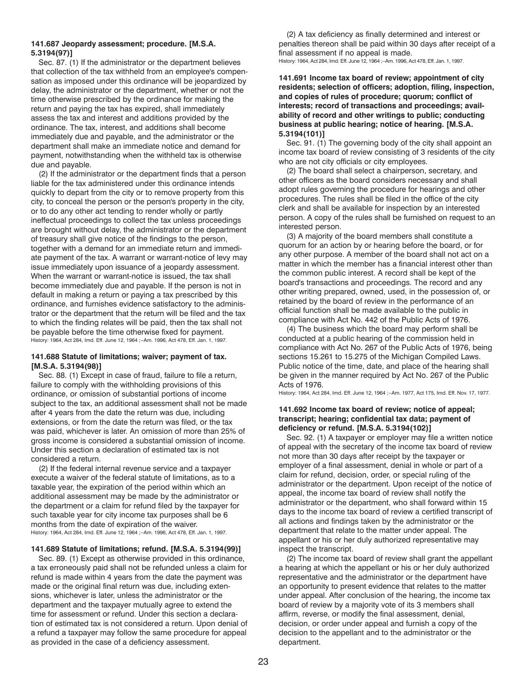#### <span id="page-22-0"></span>**141.687 Jeopardy assessment; procedure. [M.S.A. 5.3194(97)]**

Sec. 87. (1) If the administrator or the department believes that collection of the tax withheld from an employee's compensation as imposed under this ordinance will be jeopardized by delay, the administrator or the department, whether or not the time otherwise prescribed by the ordinance for making the return and paying the tax has expired, shall immediately assess the tax and interest and additions provided by the ordinance. The tax, interest, and additions shall become immediately due and payable, and the administrator or the department shall make an immediate notice and demand for payment, notwithstanding when the withheld tax is otherwise due and payable.

(2) If the administrator or the department finds that a person liable for the tax administered under this ordinance intends quickly to depart from the city or to remove property from this city, to conceal the person or the person's property in the city, or to do any other act tending to render wholly or partly ineffectual proceedings to collect the tax unless proceedings are brought without delay, the administrator or the department of treasury shall give notice of the findings to the person, together with a demand for an immediate return and immediate payment of the tax. A warrant or warrant-notice of levy may issue immediately upon issuance of a jeopardy assessment. When the warrant or warrant-notice is issued, the tax shall become immediately due and payable. If the person is not in default in making a return or paying a tax prescribed by this ordinance, and furnishes evidence satisfactory to the administrator or the department that the return will be filed and the tax to which the finding relates will be paid, then the tax shall not be payable before the time otherwise fixed for payment. History: 1964, Act 284, Imd. Eff. June 12, 1964 ;--Am. 1996, Act 478, Eff. Jan. 1, 1997.

#### **141.688 Statute of limitations; waiver; payment of tax. [M.S.A. 5.3194(98)]**

Sec. 88. (1) Except in case of fraud, failure to file a return, failure to comply with the withholding provisions of this ordinance, or omission of substantial portions of income subject to the tax, an additional assessment shall not be made after 4 years from the date the return was due, including extensions, or from the date the return was filed, or the tax was paid, whichever is later. An omission of more than 25% of gross income is considered a substantial omission of income. Under this section a declaration of estimated tax is not considered a return.

(2) If the federal internal revenue service and a taxpayer execute a waiver of the federal statute of limitations, as to a taxable year, the expiration of the period within which an additional assessment may be made by the administrator or the department or a claim for refund filed by the taxpayer for such taxable year for city income tax purposes shall be 6 months from the date of expiration of the waiver. History: 1964, Act 284, Imd. Eff. June 12, 1964 ;--Am. 1996, Act 478, Eff. Jan. 1, 1997.

#### **141.689 Statute of limitations; refund. [M.S.A. 5.3194(99)]**

Sec. 89. (1) Except as otherwise provided in this ordinance, a tax erroneously paid shall not be refunded unless a claim for refund is made within 4 years from the date the payment was made or the original final return was due, including extensions, whichever is later, unless the administrator or the department and the taxpayer mutually agree to extend the time for assessment or refund. Under this section a declaration of estimated tax is not considered a return. Upon denial of a refund a taxpayer may follow the same procedure for appeal as provided in the case of a deficiency assessment.

(2) A tax deficiency as finally determined and interest or penalties thereon shall be paid within 30 days after receipt of a final assessment if no appeal is made. History: 1964, Act 284, Imd. Eff. June 12, 1964 ;--Am. 1996, Act 478, Eff. Jan. 1, 1997.

#### **141.691 Income tax board of review; appointment of city residents; selection of officers; adoption, filing, inspection, and copies of rules of procedure; quorum; conflict of interests; record of transactions and proceedings; availability of record and other writings to public; conducting business at public hearing; notice of hearing. [M.S.A. 5.3194(101)]**

Sec. 91. (1) The governing body of the city shall appoint an income tax board of review consisting of 3 residents of the city who are not city officials or city employees.

(2) The board shall select a chairperson, secretary, and other officers as the board considers necessary and shall adopt rules governing the procedure for hearings and other procedures. The rules shall be filed in the office of the city clerk and shall be available for inspection by an interested person. A copy of the rules shall be furnished on request to an interested person.

(3) A majority of the board members shall constitute a quorum for an action by or hearing before the board, or for any other purpose. A member of the board shall not act on a matter in which the member has a financial interest other than the common public interest. A record shall be kept of the board's transactions and proceedings. The record and any other writing prepared, owned, used, in the possession of, or retained by the board of review in the performance of an official function shall be made available to the public in compliance with Act No. 442 of the Public Acts of 1976.

(4) The business which the board may perform shall be conducted at a public hearing of the commission held in compliance with Act No. 267 of the Public Acts of 1976, being sections 15.261 to 15.275 of the Michigan Compiled Laws. Public notice of the time, date, and place of the hearing shall be given in the manner required by Act No. 267 of the Public Acts of 1976.

History: 1964, Act 284, Imd. Eff. June 12, 1964 ;--Am. 1977, Act 175, Imd. Eff. Nov. 17, 1977.

# **141.692 Income tax board of review; notice of appeal; transcript; hearing; confidential tax data; payment of deficiency or refund. [M.S.A. 5.3194(102)]**

Sec. 92. (1) A taxpayer or employer may file a written notice of appeal with the secretary of the income tax board of review not more than 30 days after receipt by the taxpayer or employer of a final assessment, denial in whole or part of a claim for refund, decision, order, or special ruling of the administrator or the department. Upon receipt of the notice of appeal, the income tax board of review shall notify the administrator or the department, who shall forward within 15 days to the income tax board of review a certified transcript of all actions and findings taken by the administrator or the department that relate to the matter under appeal. The appellant or his or her duly authorized representative may inspect the transcript.

(2) The income tax board of review shall grant the appellant a hearing at which the appellant or his or her duly authorized representative and the administrator or the department have an opportunity to present evidence that relates to the matter under appeal. After conclusion of the hearing, the income tax board of review by a majority vote of its 3 members shall affirm, reverse, or modify the final assessment, denial, decision, or order under appeal and furnish a copy of the decision to the appellant and to the administrator or the department.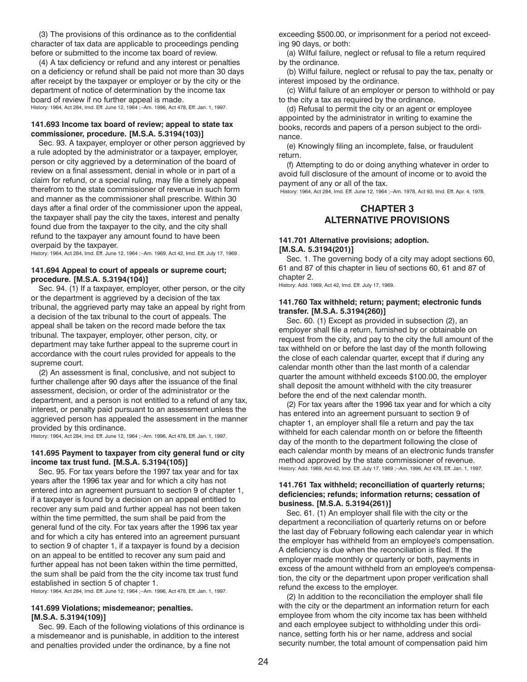(3) The provisions of this ordinance as to the confidential character of tax data are applicable to proceedings pending before or submitted to the income tax board of review.

(4) A tax deficiency or refund and any interest or penalties on a deficiency or refund shall be paid not more than 30 days after receipt by the taxpayer or employer or by the city or the department of notice of determination by the income tax board of review if no further appeal is made. History: 1964, Act 284, Imd. Eff. June 12, 1964 ;--Am. 1996, Act 478, Eff. Jan. 1, 1997.

#### **141.693 Income tax board of review; appeal to state tax commissioner, procedure. [M.S.A. 5.3194(103)]**

Sec. 93. A taxpayer, employer or other person aggrieved by a rule adopted by the administrator or a taxpayer, employer, person or city aggrieved by a determination of the board of review on a final assessment, denial in whole or in part of a claim for refund, or a special ruling, may file a timely appeal therefrom to the state commissioner of revenue in such form and manner as the commissioner shall prescribe. Within 30 days after a final order of the commissioner upon the appeal, the taxpayer shall pay the city the taxes, interest and penalty found due from the taxpayer to the city, and the city shall refund to the taxpayer any amount found to have been overpaid by the taxpayer.

History: 1964, Act 284, Imd. Eff. June 12, 1964 ;--Am. 1969, Act 42, Imd. Eff. July 17, 1969 .

#### **141.694 Appeal to court of appeals or supreme court; procedure. [M.S.A. 5.3194(104)]**

Sec. 94. (1) If a taxpayer, employer, other person, or the city or the department is aggrieved by a decision of the tax tribunal, the aggrieved party may take an appeal by right from a decision of the tax tribunal to the court of appeals. The appeal shall be taken on the record made before the tax tribunal. The taxpayer, employer, other person, city, or department may take further appeal to the supreme court in accordance with the court rules provided for appeals to the supreme court.

(2) An assessment is final, conclusive, and not subject to further challenge after 90 days after the issuance of the final assessment, decision, or order of the administrator or the department, and a person is not entitled to a refund of any tax, interest, or penalty paid pursuant to an assessment unless the aggrieved person has appealed the assessment in the manner provided by this ordinance.

History: 1964, Act 284, Imd. Eff. June 12, 1964 ;--Am. 1996, Act 478, Eff. Jan. 1, 1997.

#### **141.695 Payment to taxpayer from city general fund or city income tax trust fund. [M.S.A. 5.3194(105)]**

Sec. 95. For tax years before the 1997 tax year and for tax years after the 1996 tax year and for which a city has not entered into an agreement pursuant to section 9 of chapter 1, if a taxpayer is found by a decision on an appeal entitled to recover any sum paid and further appeal has not been taken within the time permitted, the sum shall be paid from the general fund of the city. For tax years after the 1996 tax year and for which a city has entered into an agreement pursuant to section 9 of chapter 1, if a taxpayer is found by a decision on an appeal to be entitled to recover any sum paid and further appeal has not been taken within the time permitted, the sum shall be paid from the the city income tax trust fund established in section 5 of chapter 1.

History: 1964, Act 284, Imd. Eff. June 12, 1964 ;--Am. 1996, Act 478, Eff. Jan. 1, 1997.

#### **141.699 Violations; misdemeanor; penalties. [M.S.A. 5.3194(109)]**

Sec. 99. Each of the following violations of this ordinance is a misdemeanor and is punishable, in addition to the interest and penalties provided under the ordinance, by a fine not

exceeding \$500.00, or imprisonment for a period not exceeding 90 days, or both:

(a) Wilful failure, neglect or refusal to file a return required by the ordinance.

(b) Wilful failure, neglect or refusal to pay the tax, penalty or interest imposed by the ordinance.

(c) Wilful failure of an employer or person to withhold or pay to the city a tax as required by the ordinance.

(d) Refusal to permit the city or an agent or employee appointed by the administrator in writing to examine the books, records and papers of a person subject to the ordinance.

(e) Knowingly filing an incomplete, false, or fraudulent return.

(f) Attempting to do or doing anything whatever in order to avoid full disclosure of the amount of income or to avoid the payment of any or all of the tax.

History: 1964, Act 284, Imd. Eff. June 12, 1964 ;--Am. 1978, Act 93, Imd. Eff. Apr. 4, 1978.

# **CHAPTER 3 ALTERNATIVE PROVISIONS**

# **141.701 Alternative provisions; adoption. [M.S.A. 5.3194(201)]**

Sec. 1. The governing body of a city may adopt sections 60, 61 and 87 of this chapter in lieu of sections 60, 61 and 87 of chapter 2.

History: Add. 1969, Act 42, Imd. Eff. July 17, 1969.

#### **141.760 Tax withheld; return; payment; electronic funds transfer. [M.S.A. 5.3194(260)]**

Sec. 60. (1) Except as provided in subsection (2), an employer shall file a return, furnished by or obtainable on request from the city, and pay to the city the full amount of the tax withheld on or before the last day of the month following the close of each calendar quarter, except that if during any calendar month other than the last month of a calendar quarter the amount withheld exceeds \$100.00, the employer shall deposit the amount withheld with the city treasurer before the end of the next calendar month.

(2) For tax years after the 1996 tax year and for which a city has entered into an agreement pursuant to section 9 of chapter 1, an employer shall file a return and pay the tax withheld for each calendar month on or before the fifteenth day of the month to the department following the close of each calendar month by means of an electronic funds transfer method approved by the state commissioner of revenue. History: Add. 1969, Act 42, Imd. Eff. July 17, 1969 ;--Am. 1996, Act 478, Eff. Jan. 1, 1997.

# **141.761 Tax withheld; reconciliation of quarterly returns; deficiencies; refunds; information returns; cessation of business. [M.S.A. 5.3194(261)]**

Sec. 61. (1) An employer shall file with the city or the department a reconciliation of quarterly returns on or before the last day of February following each calendar year in which the employer has withheld from an employee's compensation. A deficiency is due when the reconciliation is filed. If the employer made monthly or quarterly or both, payments in excess of the amount withheld from an employee's compensation, the city or the department upon proper verification shall refund the excess to the employer.

(2) In addition to the reconciliation the employer shall file with the city or the department an information return for each employee from whom the city income tax has been withheld and each employee subject to withholding under this ordinance, setting forth his or her name, address and social security number, the total amount of compensation paid him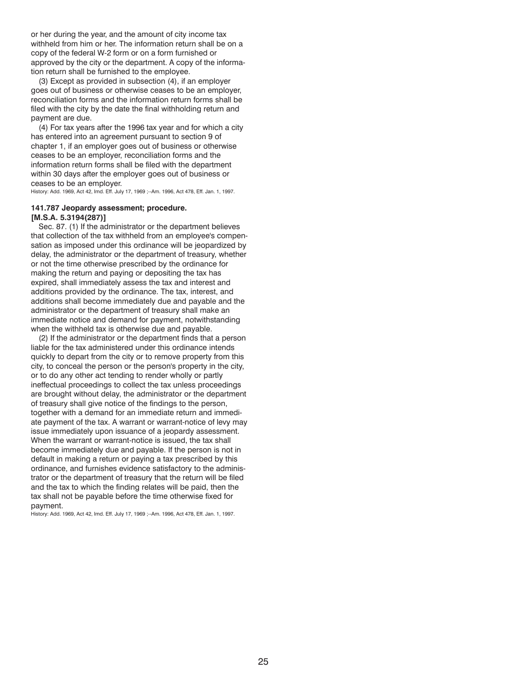or her during the year, and the amount of city income tax withheld from him or her. The information return shall be on a copy of the federal W-2 form or on a form furnished or approved by the city or the department. A copy of the information return shall be furnished to the employee.

(3) Except as provided in subsection (4), if an employer goes out of business or otherwise ceases to be an employer, reconciliation forms and the information return forms shall be filed with the city by the date the final withholding return and payment are due.

(4) For tax years after the 1996 tax year and for which a city has entered into an agreement pursuant to section 9 of chapter 1, if an employer goes out of business or otherwise ceases to be an employer, reconciliation forms and the information return forms shall be filed with the department within 30 days after the employer goes out of business or ceases to be an employer.

History: Add. 1969, Act 42, Imd. Eff. July 17, 1969 ;--Am. 1996, Act 478, Eff. Jan. 1, 1997.

# **141.787 Jeopardy assessment; procedure. [M.S.A. 5.3194(287)]**

Sec. 87. (1) If the administrator or the department believes that collection of the tax withheld from an employee's compensation as imposed under this ordinance will be jeopardized by delay, the administrator or the department of treasury, whether or not the time otherwise prescribed by the ordinance for making the return and paying or depositing the tax has expired, shall immediately assess the tax and interest and additions provided by the ordinance. The tax, interest, and additions shall become immediately due and payable and the administrator or the department of treasury shall make an immediate notice and demand for payment, notwithstanding when the withheld tax is otherwise due and payable.

(2) If the administrator or the department finds that a person liable for the tax administered under this ordinance intends quickly to depart from the city or to remove property from this city, to conceal the person or the person's property in the city, or to do any other act tending to render wholly or partly ineffectual proceedings to collect the tax unless proceedings are brought without delay, the administrator or the department of treasury shall give notice of the findings to the person, together with a demand for an immediate return and immediate payment of the tax. A warrant or warrant-notice of levy may issue immediately upon issuance of a jeopardy assessment. When the warrant or warrant-notice is issued, the tax shall become immediately due and payable. If the person is not in default in making a return or paying a tax prescribed by this ordinance, and furnishes evidence satisfactory to the administrator or the department of treasury that the return will be filed and the tax to which the finding relates will be paid, then the tax shall not be payable before the time otherwise fixed for payment.

History: Add. 1969, Act 42, Imd. Eff. July 17, 1969 ;--Am. 1996, Act 478, Eff. Jan. 1, 1997.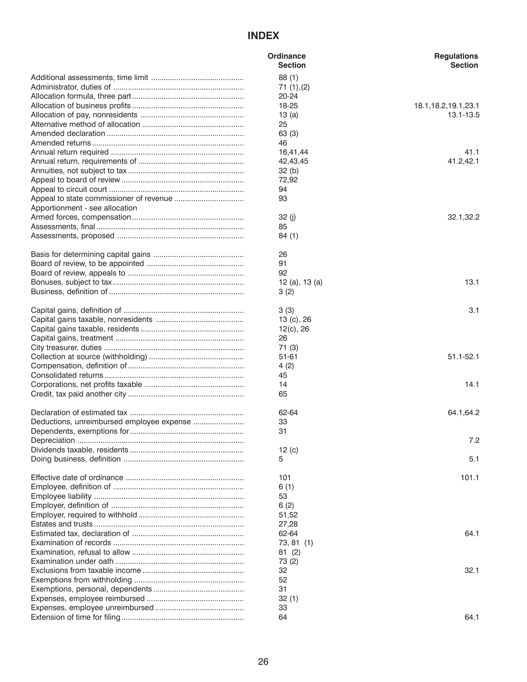# **INDEX**

|                                           | Ordinance      | <b>Regulations</b>     |
|-------------------------------------------|----------------|------------------------|
|                                           | <b>Section</b> | <b>Section</b>         |
|                                           | 88(1)          |                        |
|                                           | 71(1), (2)     |                        |
|                                           | 20-24          |                        |
|                                           | 18-25          | 18.1, 18.2, 19.1, 23.1 |
|                                           | 13(a)          | 13.1-13.5              |
|                                           | 25             |                        |
|                                           | 63 (3)         |                        |
|                                           | 46             |                        |
|                                           | 16,41,44       | 41.1                   |
|                                           | 42,43,45       | 41.2,42.1              |
|                                           | 32(b)          |                        |
|                                           | 72,92          |                        |
|                                           | 94             |                        |
|                                           | 93             |                        |
| Apportionment - see allocation            |                |                        |
|                                           | 32 (j)         | 32.1,32.2              |
|                                           | 85             |                        |
|                                           | 84(1)          |                        |
|                                           | 26             |                        |
|                                           | 91             |                        |
|                                           | 92             |                        |
|                                           | 12 (a), 13 (a) | 13.1                   |
|                                           | 3(2)           |                        |
|                                           |                |                        |
|                                           | 3(3)           | 3.1                    |
|                                           | 13 (c), 26     |                        |
|                                           | 12(c), 26      |                        |
|                                           | 26             |                        |
|                                           | 71 (3)         |                        |
|                                           | 51-61          | $51.1 - 52.1$          |
|                                           | 4(2)           |                        |
|                                           | 45             |                        |
|                                           | 14             | 14.1                   |
|                                           | 65             |                        |
|                                           |                |                        |
|                                           | 62-64          | 64.1,64.2              |
| Deductions, unreimbursed employee expense | 33             |                        |
|                                           | 31             |                        |
|                                           |                | 7.2                    |
|                                           | 12(c)          |                        |
|                                           | 5              | 5.1                    |
|                                           |                |                        |
|                                           | 101            | 101.1                  |
|                                           | 6(1)           |                        |
|                                           | 53             |                        |
|                                           | 6(2)           |                        |
|                                           | 51,52          |                        |
|                                           | 27,28          |                        |
|                                           | 62-64          | 64.1                   |
|                                           | 73, 81 (1)     |                        |
|                                           | 81(2)          |                        |
|                                           | 73 (2)         |                        |
|                                           | 32             | 32.1                   |
|                                           | 52             |                        |
|                                           | 31             |                        |
|                                           | 32(1)          |                        |
|                                           | 33             |                        |
|                                           | 64             | 64.1                   |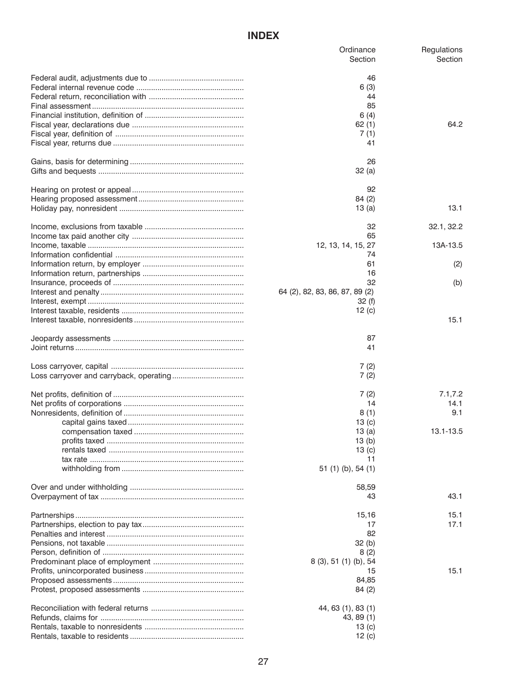# **INDEX**

| Ordinance<br>Section           | Regulations<br>Section |
|--------------------------------|------------------------|
| 46                             |                        |
| 6(3)                           |                        |
| 44                             |                        |
| 85                             |                        |
| 6(4)                           |                        |
| 62(1)                          | 64.2                   |
| 7(1)                           |                        |
| 41                             |                        |
|                                |                        |
| 26                             |                        |
| 32(a)                          |                        |
|                                |                        |
| 92                             |                        |
| 84(2)                          |                        |
| 13 (a)                         | 13.1                   |
| 32                             | 32.1, 32.2             |
| 65                             |                        |
|                                | 13A-13.5               |
| 12, 13, 14, 15, 27             |                        |
| 74                             |                        |
| 61                             | (2)                    |
| 16                             |                        |
| 32                             | (b)                    |
| 64 (2), 82, 83, 86, 87, 89 (2) |                        |
| 32(f)                          |                        |
| 12 $(c)$                       |                        |
|                                | 15.1                   |
| 87                             |                        |
| 41                             |                        |
|                                |                        |
| 7(2)                           |                        |
| 7(2)                           |                        |
|                                |                        |
| 7(2)                           | 7.1, 7.2               |
| 14                             | 14.1                   |
| 8(1)                           | 9.1                    |
| 13 $(c)$                       |                        |
| 13(a)                          | 13.1-13.5              |
| 13(b)                          |                        |
| 13 $(c)$                       |                        |
| 11                             |                        |
| 51 (1) (b), 54 (1)             |                        |
| 58,59                          |                        |
| 43                             | 43.1                   |
|                                |                        |
| 15,16                          | 15.1                   |
| 17                             | 17.1                   |
| 82                             |                        |
| 32(h)                          |                        |
| 8(2)                           |                        |
| 8 (3), 51 (1) (b), 54          |                        |
| 15                             | 15.1                   |
| 84,85                          |                        |
| 84(2)                          |                        |
|                                |                        |
| 44, 63 (1), 83 (1)             |                        |
| 43, 89 (1)                     |                        |
| 13 $(c)$                       |                        |
| 12(c)                          |                        |
|                                |                        |